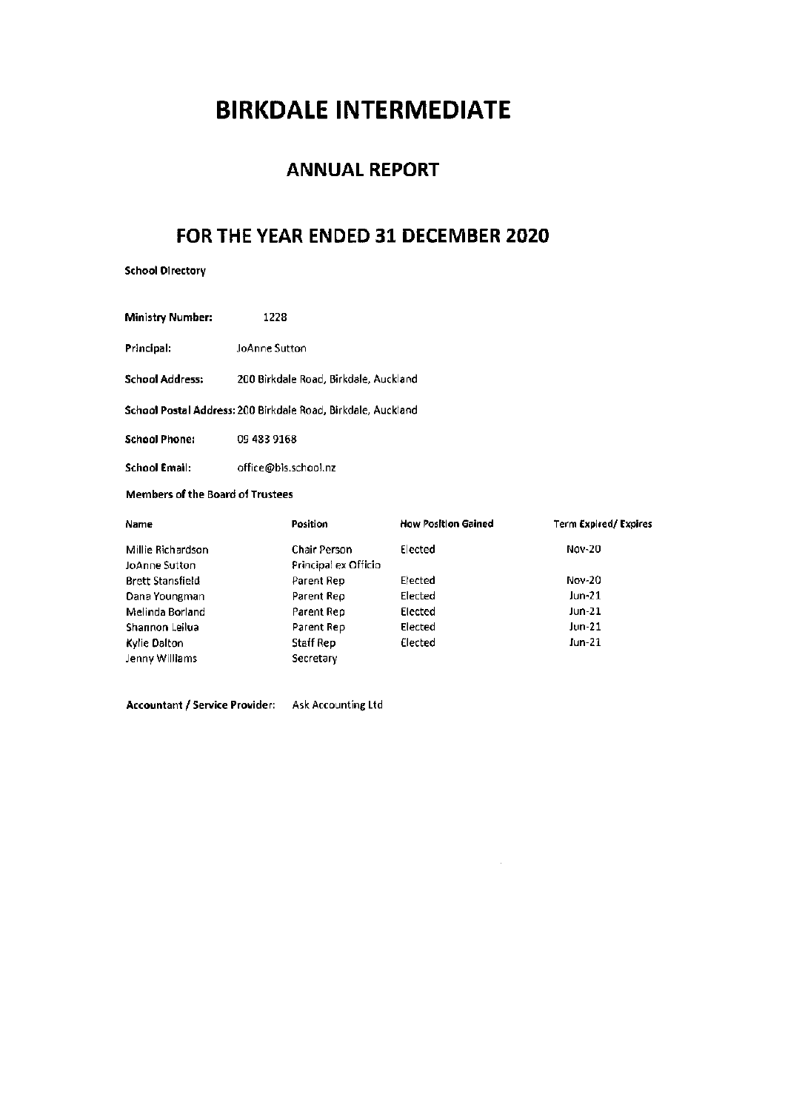# **BIRKDALE INTERMEDIATE**

## **ANNUAL REPORT**

## FOR THE YEAR ENDED 31 DECEMBER 2020

**School Directory** 

Ministry Number: 1228

Principal: JoAnne Sutton

School Address: 200 Birkdale Road, Birkdale, Auckland

School Postal Address: 200 Birkdale Road, Birkdale, Auckland

**School Phone:** 09 483 9168

office@bis.school.nz **School Email:** 

## Members of the Board of Trustees

| Name                    | Position             | <b>How Position Gained</b> | Term Expired/Expires |
|-------------------------|----------------------|----------------------------|----------------------|
| Millie Richardson       | Chair Person         | Elected                    | <b>Nov-20</b>        |
| JoAnne Sutton           | Principal ex Officio |                            |                      |
| <b>Brett Stansfield</b> | Parent Rep           | Elected                    | Nov-20               |
| Dana Youngman           | Parent Rep           | Elected                    | Jun-21               |
| Melinda Borland         | Parent Rep           | Elected                    | Jun-21               |
| Shannon Leilua          | Parent Rep           | Elected                    | Jun-21               |
| Kylie Dalton            | Staff Rep            | Elected                    | Jun-21               |
| Jenny Williams          | Secretary            |                            |                      |

 $\overline{\phantom{a}}$ 

Accountant / Service Provider: Ask Accounting Ltd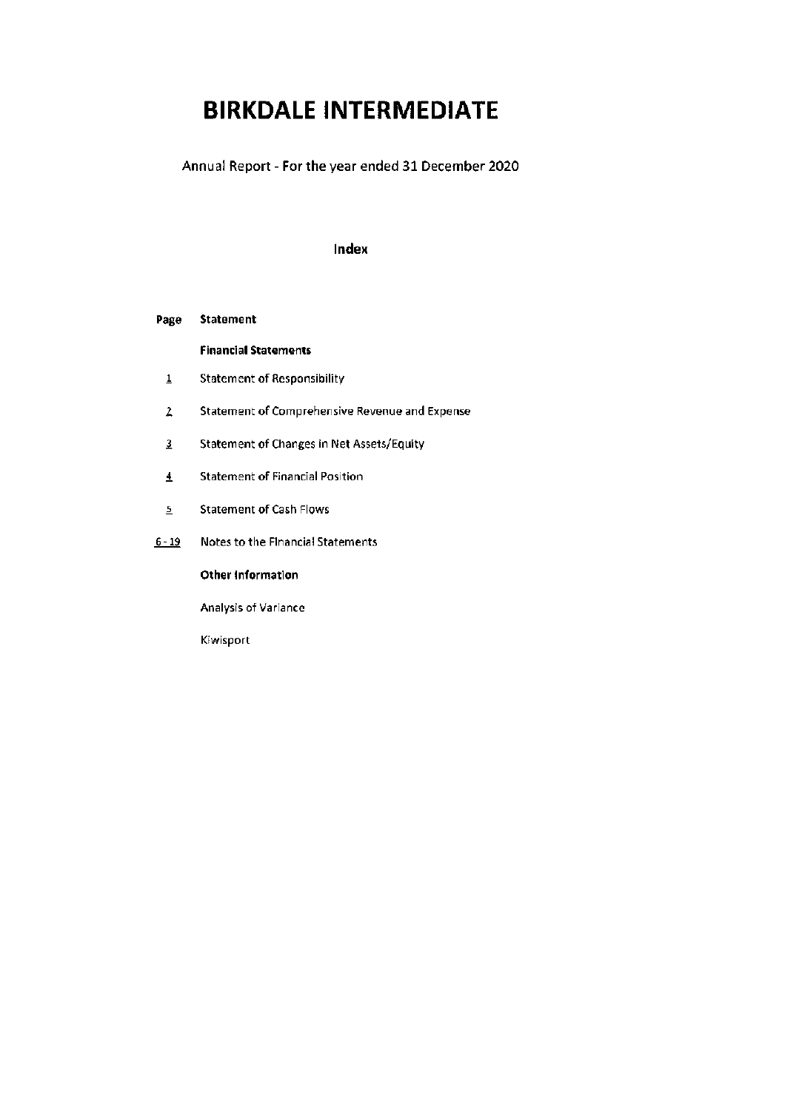# **BIRKDALE INTERMEDIATE**

Annual Report - For the year ended 31 December 2020

## Index

#### Page **Statement**

**Financial Statements** 

- **Statement of Responsibility**  $\underline{\textbf{1}}$
- $\overline{2}$ Statement of Comprehensive Revenue and Expense
- $\overline{3}$ **Statement of Changes in Net Assets/Equity**
- $\overline{4}$ **Statement of Financial Position**
- **Statement of Cash Flows**  $\underline{\mathsf{5}}$
- $6 19$ Notes to the Financial Statements

Other Information

Analysis of Variance

Kiwisport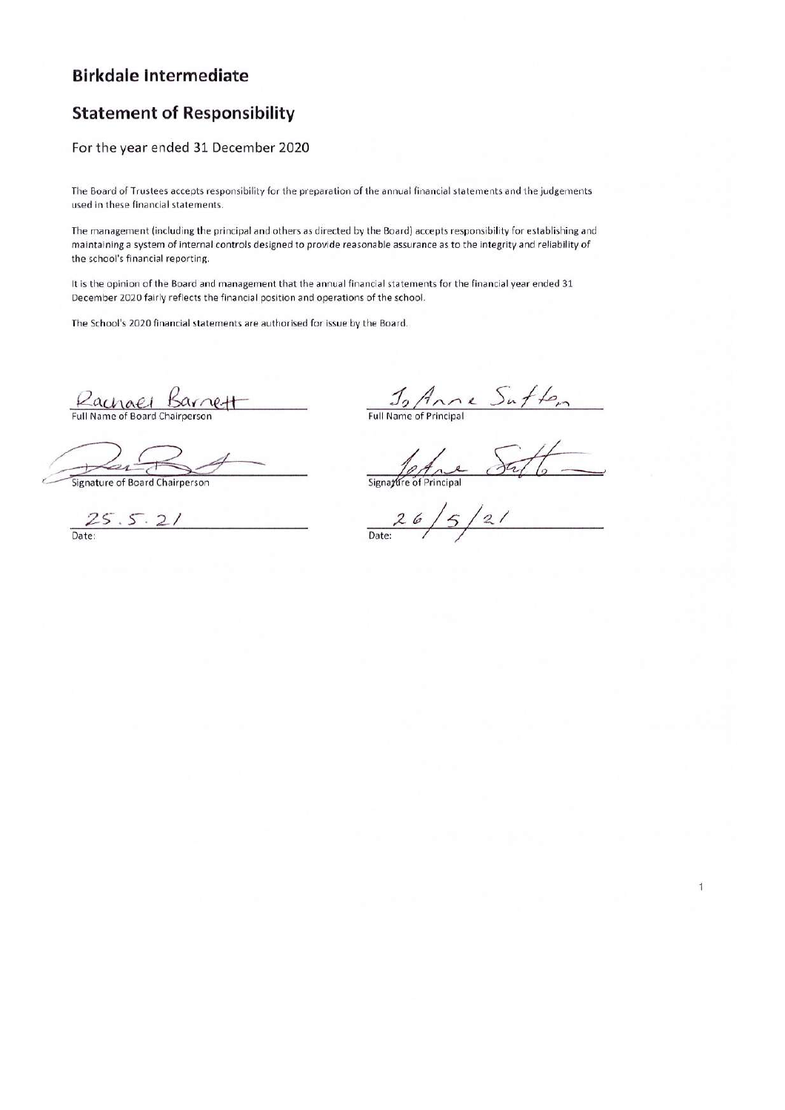## **Birkdale Intermediate**

## **Statement of Responsibility**

## For the year ended 31 December 2020

The Board of Trustees accepts responsibility for the preparation of the annual financial statements and the judgements used in these financial statements.

The management (including the principal and others as directed by the Board) accepts responsibility for establishing and maintaining a system of internal controls designed to provide reasonable assurance as to the integrity and reliability of the school's financial reporting.

It is the opinion of the Board and management that the annual financial statements for the financial year ended 31 December 2020 fairly reflects the financial position and operations of the school.

The School's 2020 financial statements are authorised for issue by the Board.

Rachael Barnet

 $\frac{J_9}{Full Name of Principal}$ 

Signature of Board Chairperson

 $25.5.21$ Date:

Signazure of  $\overline{2}$ 

Date: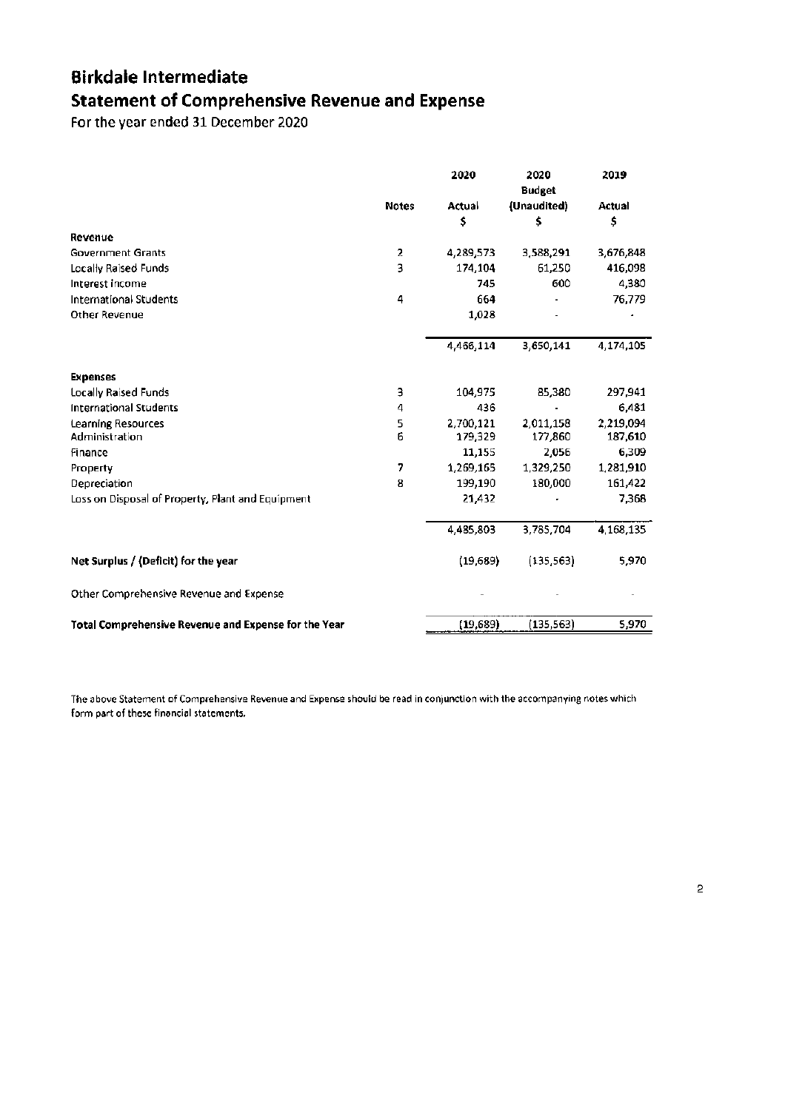## **Birkdale Intermediate Statement of Comprehensive Revenue and Expense**

For the year ended 31 December 2020

|                                                      |              | 2020      | 2020<br><b>Budget</b> | 2019          |
|------------------------------------------------------|--------------|-----------|-----------------------|---------------|
|                                                      | <b>Notes</b> | Actual    | (Unaudited)           | <b>Actual</b> |
|                                                      |              | \$        | \$                    | \$            |
| Revenue                                              |              |           |                       |               |
| <b>Government Grants</b>                             | 2            | 4,289,573 | 3,588,291             | 3,676,848     |
| Locally Raised Funds                                 | 3            | 174,104   | 61,250                | 416,098       |
| Interest income                                      |              | 745       | 600                   | 4,380         |
| <b>International Students</b>                        | 4            | 664       |                       | 76,779        |
| Other Revenue                                        |              | 1,028     |                       |               |
|                                                      |              | 4,466,114 | 3,650,141             | 4,174,105     |
| <b>Expenses</b>                                      |              |           |                       |               |
| Locally Raised Funds                                 | 3            | 104,975   | 85,380                | 297,941       |
| <b>International Students</b>                        | 4            | 436       |                       | 6.481         |
| <b>Learning Resources</b>                            | 5            | 2,700,121 | 2,011,158             | 2,219,094     |
| Administration                                       | 6            | 179,329   | 177,860               | 187,610       |
| Finance                                              |              | 11,155    | 2,056                 | 6,309         |
| Property                                             | 7            | 1,269,165 | 1,329,250             | 1,281,910     |
| Depreciation                                         | 8            | 199,190   | 180,000               | 161,422       |
| Loss on Disposal of Property, Plant and Equipment    |              | 21,432    |                       | 7,368         |
|                                                      |              | 4,485,803 | 3,785,704             | 4,168,135     |
| Net Surplus / (Deficit) for the year                 |              | (19, 689) | (135, 563)            | 5,970         |
| Other Comprehensive Revenue and Expense              |              |           |                       |               |
| Total Comprehensive Revenue and Expense for the Year |              | (19,689)  | (135, 563)            | 5,970         |

The above Statement of Comprehensive Revenue and Expense should be read in conjunction with the accompanying notes which form part of these financial statements.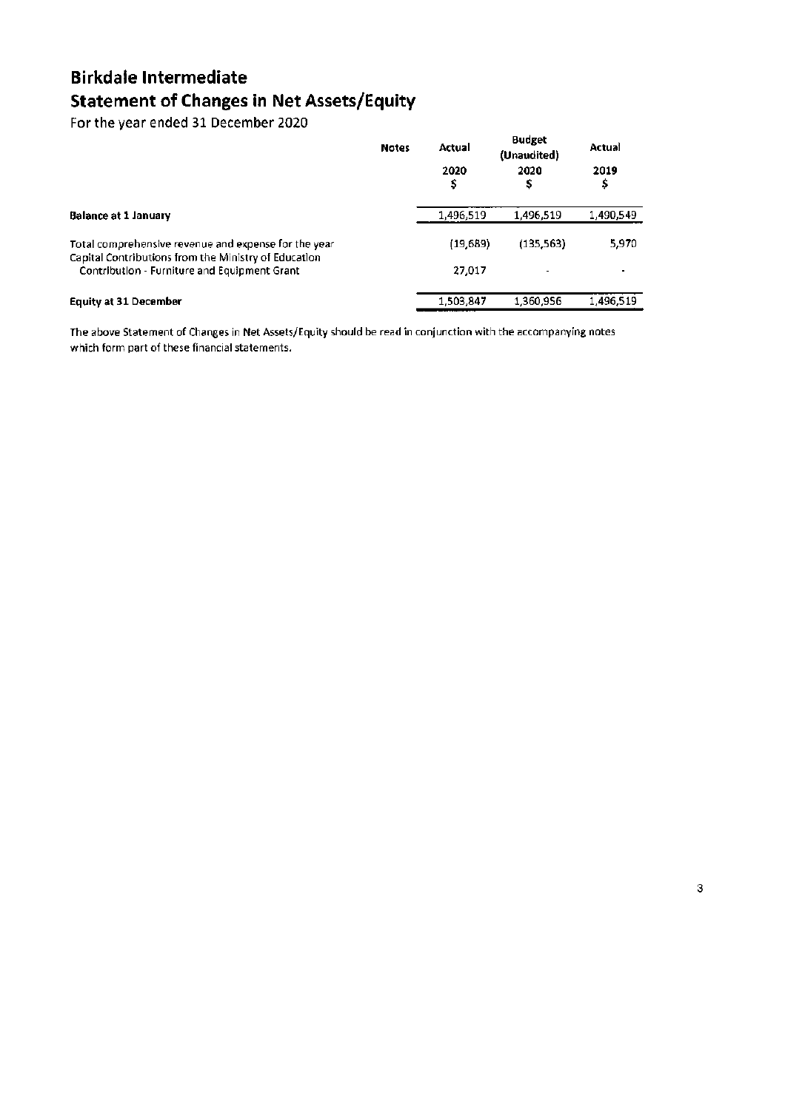## **Birkdale Intermediate Statement of Changes in Net Assets/Equity**

For the year ended 31 December 2020

|                                                                                                              | <b>Notes</b> | Actual<br>2020<br>\$ | <b>Budget</b><br>(Unaudited)<br>2020<br>s | Actual<br>2019<br>\$ |
|--------------------------------------------------------------------------------------------------------------|--------------|----------------------|-------------------------------------------|----------------------|
| <b>Balance at 1 January</b>                                                                                  |              | 1,496,519            | 1,496,519                                 | 1,490,549            |
| Total comprehensive revenue and expense for the year<br>Capital Contributions from the Ministry of Education |              | (19, 689)            | (135, 563)                                | 5,970                |
| Contribution - Furniture and Equipment Grant                                                                 |              | 27.017               |                                           |                      |
| <b>Equity at 31 December</b>                                                                                 |              | 1,503,847            | 1,360,956                                 | 1,496.519            |

The above Statement of Changes in Net Assets/Equity should be read in conjunction with the accompanying notes which form part of these financial statements.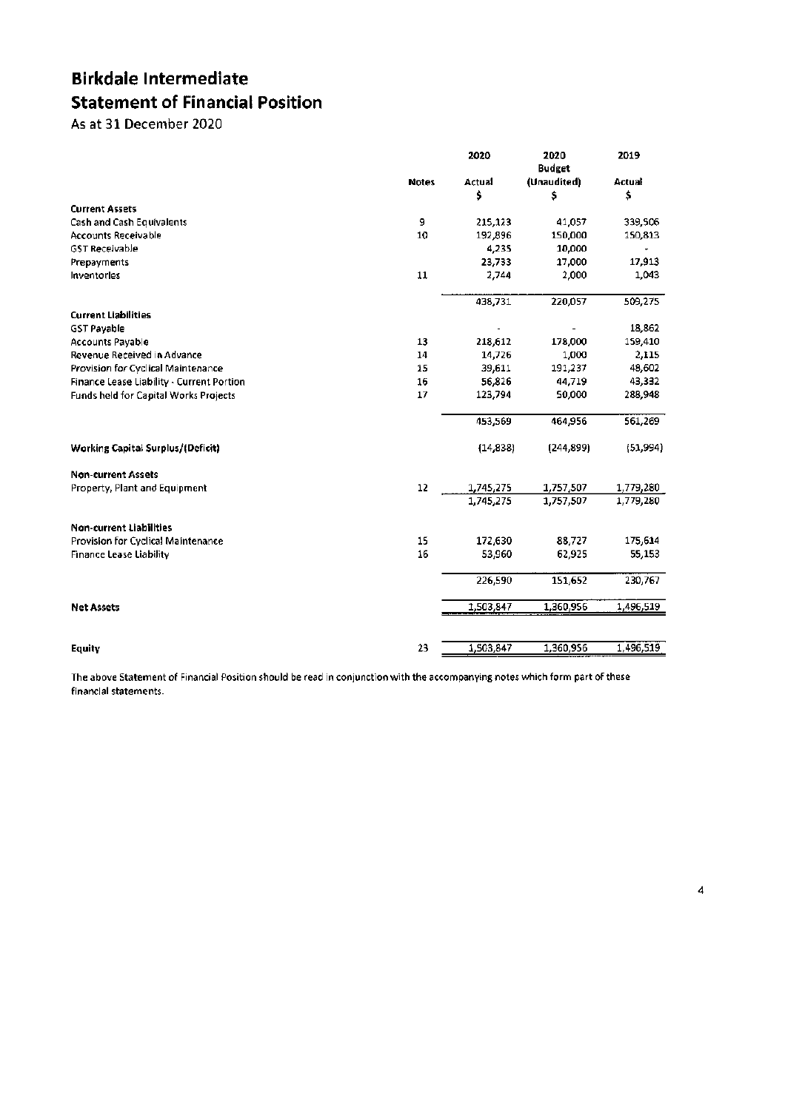## **Birkdale Intermediate Statement of Financial Position**

As at 31 December 2020

|                                           |              | 2020      | 2020<br><b>Budget</b> | 2019      |
|-------------------------------------------|--------------|-----------|-----------------------|-----------|
|                                           | <b>Notes</b> | Actual    | (Unaudited)           | Actual    |
|                                           |              | \$        | \$                    | \$        |
| <b>Current Assets</b>                     |              |           |                       |           |
| Cash and Cash Equivalents                 | 9            | 215,123   | 41,057                | 339,506   |
| <b>Accounts Receivable</b>                | 10           | 192,896   | 150,000               | 150,813   |
| <b>GST Receivable</b>                     |              | 4,235     | 10,000                |           |
| Prepayments                               |              | 23,733    | 17,000                | 17.913    |
| Inventorles                               | 11           | 2,744     | 2,000                 | 1,043     |
|                                           |              | 438,731   | 220,057               | 509,275   |
| <b>Current Liabilities</b>                |              |           |                       |           |
| <b>GST Payable</b>                        |              |           |                       | 18,862    |
| <b>Accounts Payable</b>                   | 13           | 218,612   | 178,000               | 159,410   |
| Revenue Received in Advance               | 14           | 14,726    | 1,000                 | 2,115     |
| Provision for Cyclical Maintenance        | 15           | 39,611    | 191,237               | 48,602    |
| Finance Lease Liability - Current Portion | 16           | 56,826    | 44,719                | 43,332    |
| Funds held for Capital Works Projects     | 17           | 123,794   | 50,000                | 288,948   |
|                                           |              | 453,569   | 464,956               | 561,269   |
| <b>Working Capital Surplus/(Deficit)</b>  |              | (14, 838) | (244, 899)            | (51,994)  |
| <b>Non-current Assets</b>                 |              |           |                       |           |
| Property, Plant and Equipment             | 12           | 1,745,275 | 1,757,507             | 1,779,280 |
|                                           |              | 1,745,275 | 1,757,507             | 1,779,280 |
| <b>Non-current Liabilities</b>            |              |           |                       |           |
| Provision for Cyclical Maintenance        | 15           | 172,630   | 88,727                | 175,614   |
| <b>Finance Lease Liability</b>            | 16           | 53,960    | 62,925                | 55,153    |
|                                           |              | 226,590   | 151,652               | 230,767   |
| <b>Net Assets</b>                         |              | 1,503,847 | 1,360,956             | 1,496,519 |
|                                           |              |           |                       |           |
| <b>Equity</b>                             | 23           | 1,503,847 | 1,360,956             | 1,496,519 |

The above Statement of Financial Position should be read in conjunction with the accompanying notes which form part of these financial statements.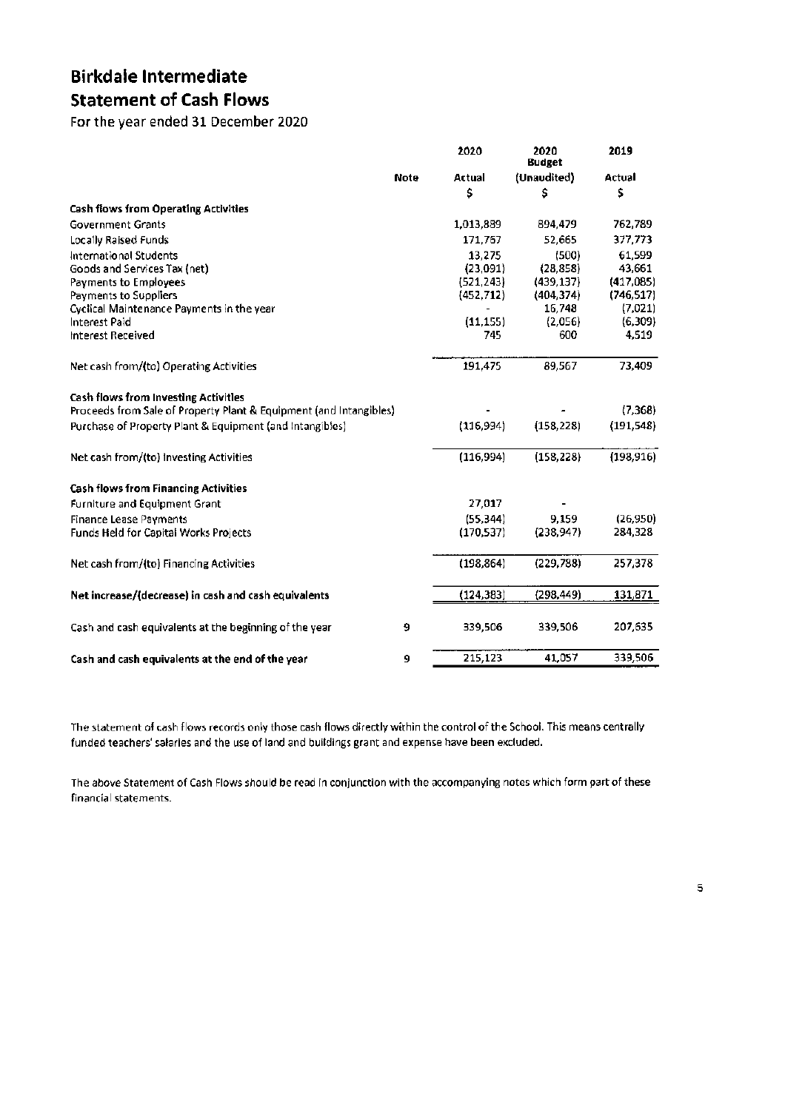## **Birkdale Intermediate Statement of Cash Flows**

For the year ended 31 December 2020

|                                                                    |             | 2020       | 2020<br><b>Budget</b> | 2019       |
|--------------------------------------------------------------------|-------------|------------|-----------------------|------------|
|                                                                    | <b>Note</b> | Actual     | (Unaudited)           | Actual     |
|                                                                    |             | \$         | \$                    | \$         |
| <b>Cash flows from Operating Activities</b>                        |             |            |                       |            |
| <b>Government Grants</b>                                           |             | 1,013,889  | 894,479               | 762,789    |
| Locally Raised Funds                                               |             | 171,767    | 52,665                | 377,773    |
| <b>International Students</b>                                      |             | 13,275     | (500)                 | 61,599     |
| Goods and Services Tax (net)                                       |             | (23,091)   | (28, 858)             | 43,661     |
| Payments to Employees                                              |             | (521, 243) | (439, 137)            | (417,085)  |
| Payments to Suppliers                                              |             | (452, 712) | (404, 374)            | (746, 517) |
| Cyclical Maintenance Payments in the year                          |             |            | 16,748                | (7,021)    |
| Interest Paid                                                      |             | (11, 155)  | (2,056)               | (6,309)    |
| Interest Received                                                  |             | 745        | 600                   | 4.519      |
| Net cash from/(to) Operating Activities                            |             | 191,475    | 89,567                | 73,409     |
| Cash flows from Investing Activities                               |             |            |                       |            |
| Proceeds from Sale of Property Plant & Equipment (and Intangibles) |             |            |                       | (7,368)    |
| Purchase of Property Plant & Equipment (and Intangibles)           |             | (116,994)  | (158, 228)            | (191,548)  |
| Net cash from/(to) investing Activities                            |             | (116,994)  | (158, 228)            | (198, 916) |
| <b>Cash flows from Financing Activities</b>                        |             |            |                       |            |
| <b>Furniture and Equipment Grant</b>                               |             | 27,017     |                       |            |
| <b>Finance Lease Payments</b>                                      |             | (55, 344)  | 9.159                 | (26, 950)  |
| Funds Held for Capital Works Projects                              |             | (170, 537) | (238, 947)            | 284,328    |
| Net cash from/(to) Financing Activities                            |             | (198, 864) | (229,788)             | 257,378    |
| Net increase/(decrease) in cash and cash equivalents               |             | (124, 383) | (298,449)             | 131,871    |
| Cash and cash equivalents at the beginning of the year             | 9           | 339,506    | 339,506               | 207,635    |
| Cash and cash equivalents at the end of the year                   | 9           | 215,123    | 41,057                | 339,506    |

The statement of cash flows records only those cash flows directly within the control of the School. This means centrally funded teachers' salaries and the use of land and buildings grant and expense have been excluded.

The above Statement of Cash Flows should be read in conjunction with the accompanying notes which form part of these financial statements.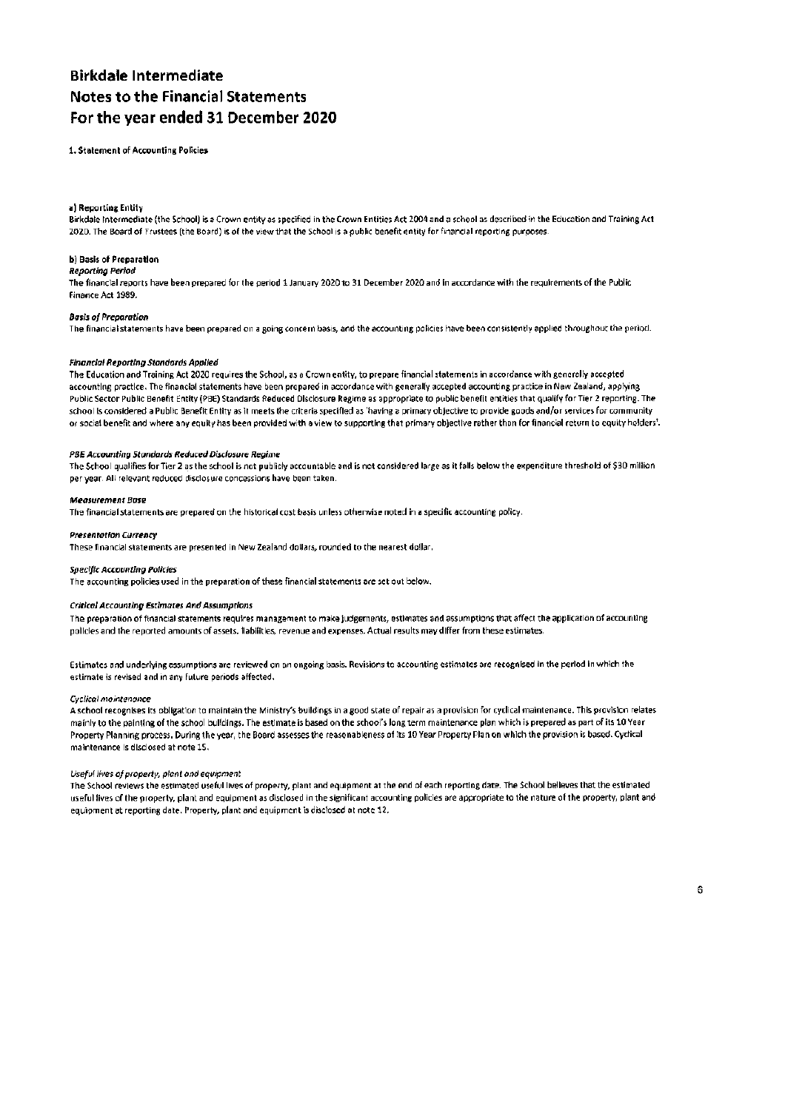## **Rirkdale Intermediate Notes to the Financial Statements** For the year ended 31 December 2020

1. Statement of Accounting Policies

#### a) Reporting Entity

Birkdale Intermediate (the School) is a Crown entity as specified in the Crown Entities Act 2004 and a school as described in the Education and Training Act 2020. The Board of Trustees (the Board) is of the view that the School is a public benefit entity for financial reporting purposes.

#### b) Basis of Preparation

**Reporting Period** 

The financial reports have been prepared for the period 1 January 2020 to 31 December 2020 and in accordance with the requirements of the Public Finance Act 1989.

#### **Basis of Preparation**

The financial statements have been prepared on a going concern basis, and the accounting policies have been consistently applied throughout the period.

#### **Financial Reporting Standards Applied**

The Education and Training Act 2020 requires the School, as a Crown entity, to prepare financial statements in accordance with generally accepted accounting practice. The financial statements have been prenared in accordance with generally accepted accounting practice in New Zealand, applying Public Sector Public Benefit Entity (PBE) Standards Reduced Disclosure Regime as appropriate to public benefit entities that qualify for Tier 2 reporting. The school is considered a Public Benefit Entity as it meets the criteria specified as 'having a primary objective to provide goods and/or services for community or social benefit and where any equity has been provided with a view to supporting that primary objective rather than for financial return to equity holders'.

#### PBE Accounting Standards Reduced Disclosure Regime

The School qualifies for Tier 2 as the school is not publicly accountable and is not considered large as it falls below the expenditure threshold of \$30 million per year. All relevant reduced disclosure concessions have been taken.

#### **Measurement Base**

The financial statements are prepared on the historical cost basis unless otherwise noted in a specific accounting policy.

#### **Presentation Currency**

These financial statements are presented in New Zealand dollars, rounded to the nearest dollar.

#### **Specific Accounting Policies**

The accounting policies used in the preparation of these financial statements are set out below.

#### **Critical Accounting Estimates And Assumptions**

The preparation of financial statements requires management to make judgements, estimates and assumptions that affect the application of accounting policies and the reported amounts of assets, ilabilities, revenue and expenses. Actual results may differ from these estimates.

Estimates and underlying assumptions are reviewed on an ongoing basis. Revisions to accounting estimates are recognised in the period in which the estimate is revised and in any future periods affected.

#### **Cyclical maintenance**

A school recognises its obligation to maintain the Ministry's buildings in a good state of repair as a provision for cyclical maintenance. This provision relates mainly to the painting of the school buildings. The estimate is based on the school's long term maintenance plan which is prepared as part of its 10 Year Property Planning process. During the year, the Board assesses the reasonableness of its 10 Year Property Plan on which the provision is based. Cyclical maintenance is disclosed at note 15.

#### Useful lives of property, plant and equipment

The School reviews the estimated useful lives of property, plant and equipment at the end of each reporting date. The School believes that the estimated useful lives of the property, plant and equipment as disclosed in the significant accounting policies are appropriate to the nature of the property, plant and equipment at reporting date. Property, plant and equipment is disclosed at note 12.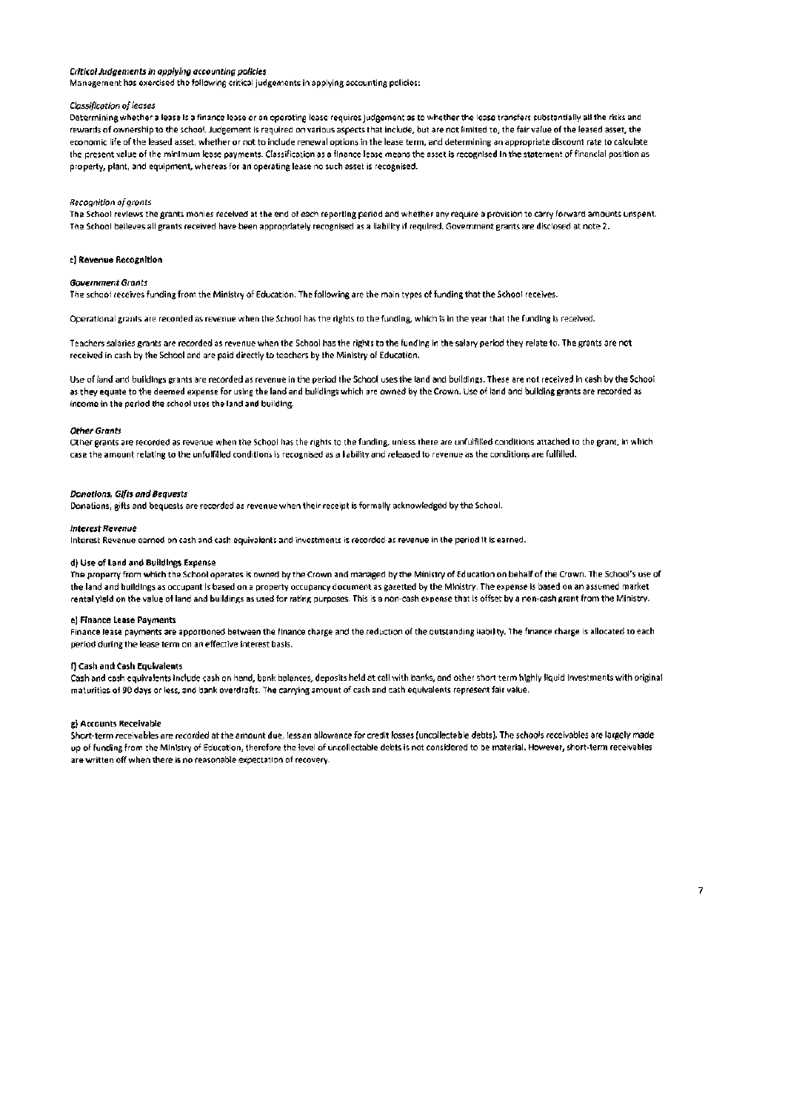#### Critical Judgements in applying accounting policies

Management has exercised the following critical judgements in applying accounting policies:

#### Classification of leases

Determining whether a lease is a finance lease or an operating lease requires judgement as to whether the lease transfers substantially all the risks and rewards of ownership to the school. Judgement is required on various aspects that include, but are not limited to, the fair value of the leased asset, the economic life of the leased asset, whether or not to include renewal options in the lease term, and determining an appropriate discount rate to calculate the present value of the minimum lease payments. Classification as a finance lease means the asset is recognised in the statement of financial position as property, plant, and equipment, whereas for an operating lease no such asset is recognised.

#### Recognition of grants

The School reviews the grants monies received at the end of each reporting period and whether any require a provision to carry forward amounts unspent. The School believes all grants received have been appropriately recognised as a liability if required. Government grants are disclosed at note 2.

#### c) Revenue Recognition

#### **Government Grants**

The school receives funding from the Ministry of Education. The following are the main types of funding that the School receives.

Operational grants are recorded as revenue when the School has the rights to the funding, which is in the year that the funding is received.

Teachers salaries grants are recorded as revenue when the School has the rights to the funding in the salary period they relate to. The grants are not received in cash by the School and are paid directly to teachers by the Ministry of Education.

Use of land and buildings grants are recorded as revenue in the period the School uses the land and buildings. These are not received in cash by the School as they equate to the deemed expense for using the land and buildings which are owned by the Crown. Use of land and building grants are recorded as income in the period the school uses the land and building.

#### **Other Grants**

Other grants are recorded as revenue when the School has the rights to the funding, unless there are unfulfilled conditions attached to the grant, in which case the amount relating to the unfulfilled conditions is recognised as a liability and released to revenue as the conditions are fulfilled.

#### **Donotions, Gifts and Beauests**

Donations, gifts and bequests are recorded as revenue when their receipt is formally acknowledged by the School.

#### **Interest Revenue**

Interest Revenue earned on cash and cash equivalents and investments is recorded as revenue in the period it is earned.

#### d) Use of Land and Buildings Expense

The property from which the School operates is owned by the Crown and managed by the Ministry of Education on behalf of the Crown. The School's use of the land and buildings as occupant is based on a property occupancy document as gazetted by the Ministry. The expense is based on an assumed market rental yield on the value of land and buildings as used for rating purposes. This is a non-cash expense that is offset by a non-cash grant from the Ministry.

#### el Finance Lease Payments

Finance lease payments are apportioned between the finance charge and the reduction of the outstanding liability. The finance charge is allocated to each period during the lease term on an effective interest basis.

#### f) Cash and Cash Equivalents

Cash and cash equivalents include cash on hand, bank balances, deposits held at call with banks, and other short term highly liquid investments with original maturities of 90 days or less, and bank overdrafts. The carrying amount of cash and cash equivalents represent fair value.

#### g) Accounts Receivable

Short-term receivables are recorded at the amount due, less an allowance for credit losses (uncollectable debts). The schools receivables are largely made up of funding from the Ministry of Education, therefore the level of uncollectable debts is not considered to be material. However, short-term receivables are written off when there is no reasonable expectation of recovery.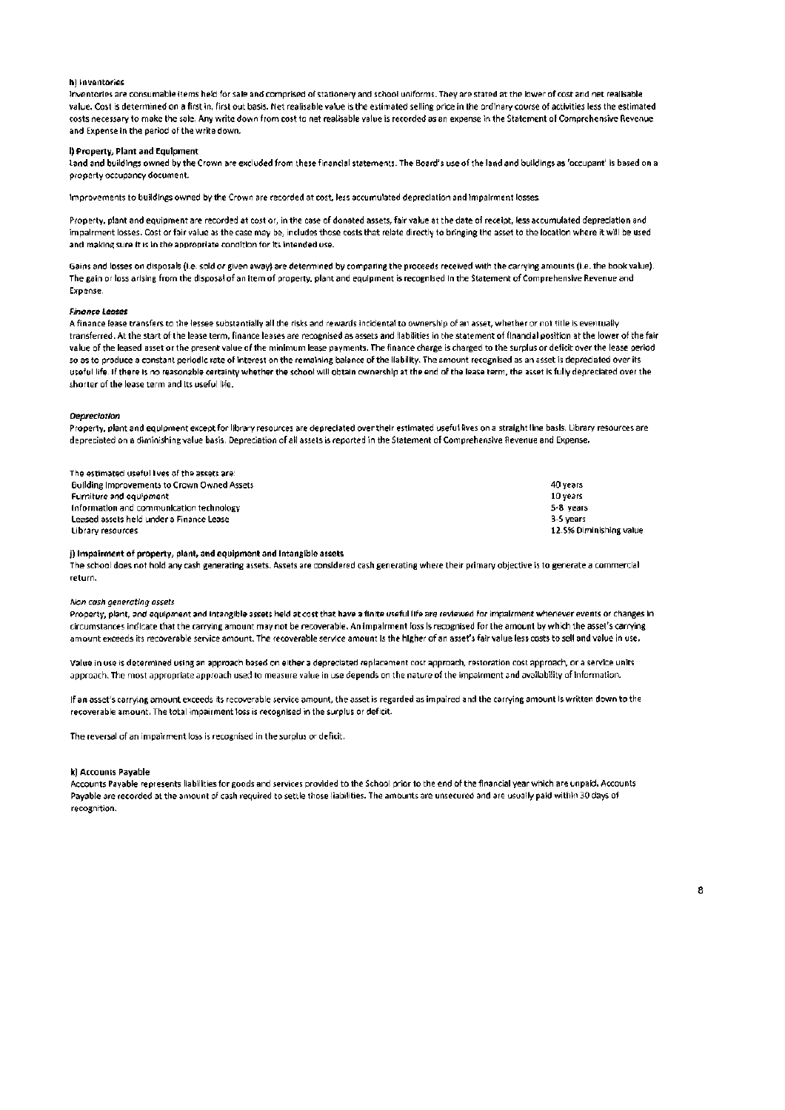#### h) Inventories

Inventories are consumable items held for sale and comprised of stationery and school uniforms. They are stated at the lower of cost and net realisable value. Cost is determined on a first in, first out basis. Net realisable value is the estimated selling price in the ordinary course of activities less the estimated costs necessary to make the sale. Any write down from cost to net realisable value is recorded as an expense in the Statement of Comprehensive Revenue and Expense in the period of the write down.

#### i) Property, Plant and Equipment

Land and buildings owned by the Crown are excluded from these financial statements. The Board's use of the land and buildings as 'occupant' is based on a orogerty occupancy document.

Improvements to buildings owned by the Crown are recorded at cost, less accumulated depreciation and impairment losses.

Property, plant and equipment are recorded at cost or, in the case of donated assets, fair value at the date of receipt, less accumulated depreciation and impairment losses. Cost or fair value as the case may be, includes those costs that relate directly to bringing the asset to the location where it will be used and making sure it is in the appropriate condition for its intended use.

Gains and losses on disposals (i.e. sold or given away) are determined by comparing the proceeds received with the carrying amounts (i.e. the book value). The gain or loss arising from the disposal of an item of property, plant and equipment is recognised in the Statement of Comprehensive Revenue and **Expense** 

#### **Finance Leases**

A finance lease transfers to the lessee substantially all the risks and rewards incidental to ownership of an asset, whether or not title is eventually transferred. At the start of the lease term, finance leases are recognised as assets and liabilities in the statement of financial position at the lower of the fair value of the leased asset or the present value of the minimum lease payments. The finance charge is charged to the surplus or deficit over the lease period so as to produce a constant periodic rate of interest on the remaining balance of the liability. The amount recognised as an asset is depreciated over its useful life. If there is no reasonable certainty whether the school will obtain ownership at the end of the lease term, the asset is fully depreciated over the shorter of the lease term and its useful life.

#### **Depreciation**

Property, plant and equipment except for library resources are depreciated over their estimated useful lives on a straight line basis. Library resources are depreciated on a diminishing value basis. Depreciation of all assets is reported in the Statement of Comprehensive Revenue and Expense.

| The estimated useful lives of the assets are: |                         |
|-----------------------------------------------|-------------------------|
| Building Improvements to Crown Owned Assets   | 40 vears                |
| Furniture and equipment                       | 10 years                |
| Information and communication technology      | 5-8 years               |
| Leased assets held under a Finance Lease      | 3-5 vears               |
| Library resources                             | 12.5% Diminishing value |

#### i) Impairment of property, plant, and equipment and Intangible assets

The school does not hold any cash generating assets. Assets are considered cash generating where their primary objective is to generate a commercial return.

#### Non cash generating assets

Property, plant, and equipment and intangible assets held at cost that have a finite useful life are reviewed for impairment whenever events or changes in circumstances indicate that the carrying amount may not be recoverable. An impairment loss is recognised for the amount by which the asset's carrying amount exceeds its recoverable service amount. The recoverable service amount is the higher of an asset's fair value less costs to sell and value in use.

Value in use is determined using an approach based on either a depreciated replacement cost approach, restoration cost approach, or a service units approach. The most appropriate approach used to measure value in use depends on the nature of the impalment and availability of information.

If an asset's carrying amount exceeds its recoverable service amount, the asset is regarded as impaired and the carrying amount is written down to the recoverable amount. The total impairment loss is recognised in the surplus or deficit.

The reversal of an impairment loss is recognised in the surplus or deficit.

#### k) Accounts Pavable

Accounts Payable represents liabilities for goods and services provided to the School prior to the end of the financial year which are unpaid. Accounts Payable are recorded at the amount of cash required to settle those liabilities. The amounts are unsecured and are usually paid within 30 days of recognition.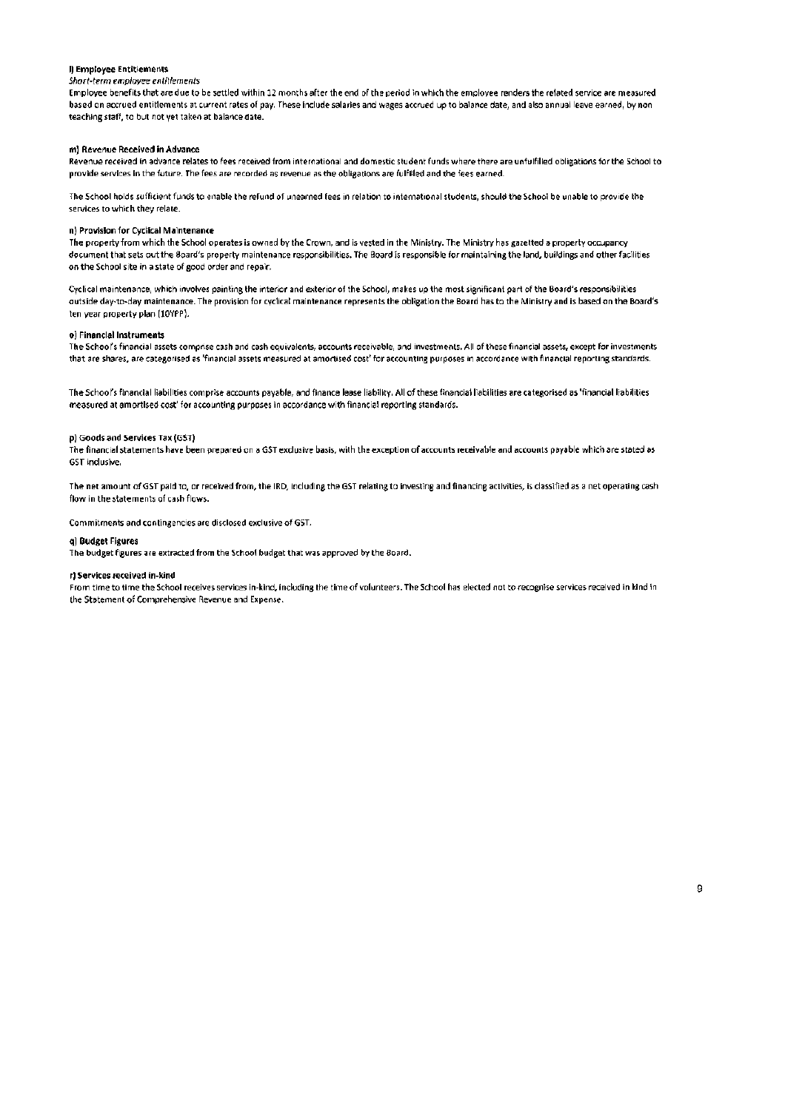#### I) Employee Entitlements

#### Short-term employee entitlements

Employee benefits that are due to be settled within 12 months after the end of the period in which the employee renders the related service are measured based on accrued entitlements at current rates of pay. These include salaries and wages accrued up to balance date, and also annual leave earned, by non teaching staff, to but not yet taken at balance date.

#### m) Revenue Received in Advance

Revenue received in advance relates to fees received from international and domestic student funds where there are unfulfilled obligations for the School to provide services in the future. The fees are recorded as revenue as the obligations are fulfilled and the fees earned.

The School holds sufficient funds to enable the refund of unearned fees in relation to international students, should the School be unable to provide the services to which they relate.

#### n) Provision for Cyclical Maintenance

The property from which the School operates is owned by the Crown, and is vested in the Ministry. The Ministry has gazetted a property occupancy document that sets out the Board's property maintenance responsibilities. The Board is responsible for maintaining the land, buildings and other facilities on the School site in a state of good order and repair.

Cyclical maintenance, which involves painting the interior and exterior of the School, makes up the most significant part of the Board's responsibilities outside day-to-day maintenance. The provision for cyclical maintenance represents the obligation the Board has to the Ministry and is based on the Board's ten year property plan (10YPP).

#### o) Financial instruments

The School's financial assets comprise cash and cash equivalents, accounts receivable, and investments. All of these financial assets, except for investments that are shares, are categorised as 'financial assets measured at amortised cost' for accounting purposes in accordance with financial reporting standards.

The School's financial liabilities comprise accounts payable, and finance lease liability. All of these financial liabilities are categorised as 'financial liabilities measured at amortised cost' for accounting purposes in accordance with financial reporting standards.

#### p) Goods and Services Tax (GST)

The financial statements have been prepared on a GST exclusive basis, with the exception of accounts receivable and accounts payable which are stated as **GST inclusive.** 

The net amount of GST paid to, or received from, the IRD, including the GST relating to investing and financing activities, is classified as a net operating cash flow in the statements of cash flows.

Commitments and contingencies are disclosed exclusive of GST.

#### al Budget Figures

The budget figures are extracted from the School budget that was approved by the Board.

#### rt Services received in-kind

From time to time the School receives services in-kind, including the time of volunteers. The School has elected not to recognise services received in kind in the Statement of Comprehensive Revenue and Expense.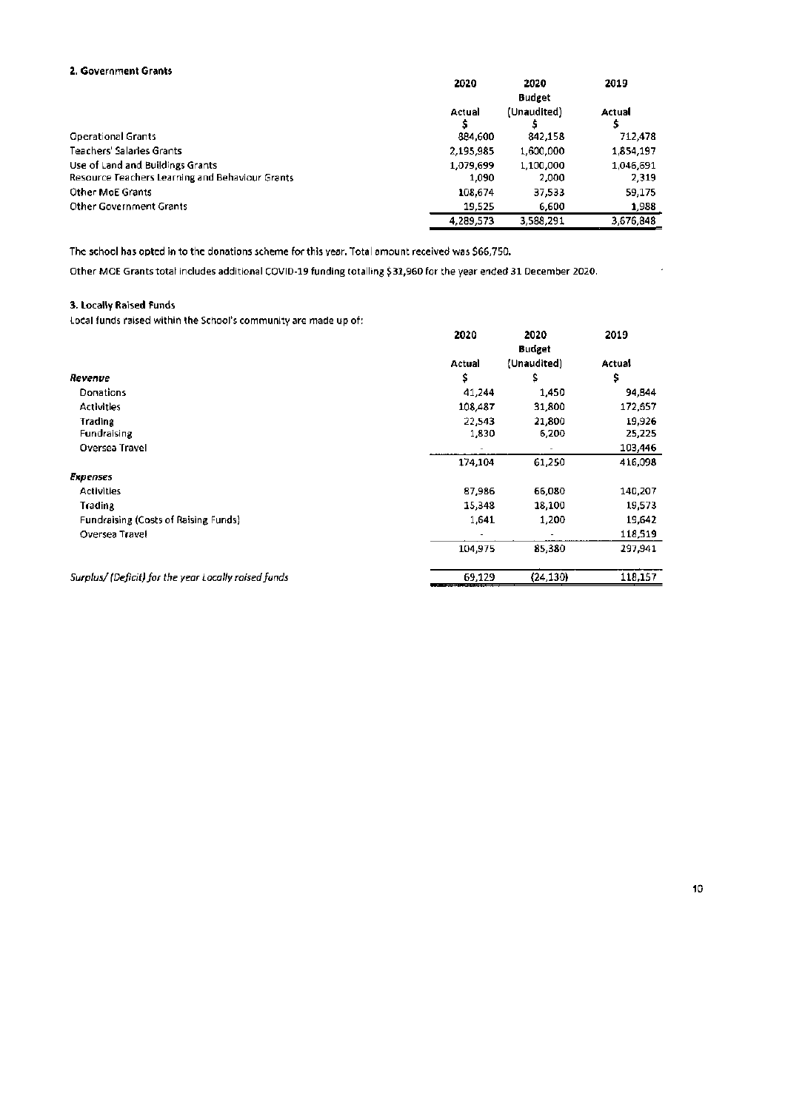## 2. Government Grants

| г. Солентвен станс                              |           |               |           |  |
|-------------------------------------------------|-----------|---------------|-----------|--|
|                                                 | 2020      | 2020          | 2019      |  |
|                                                 |           | <b>Budget</b> |           |  |
|                                                 | Actual    | (Unaudited)   | Actual    |  |
|                                                 |           |               |           |  |
| <b>Operational Grants</b>                       | 884,600   | 842,158       | 712,478   |  |
| Teachers' Salaries Grants                       | 2,195,985 | 1,600,000     | 1,854,197 |  |
| Use of Land and Buildings Grants                | 1.079.699 | 1,100,000     | 1.046.691 |  |
| Resource Teachers Learning and Behaviour Grants | 1,090     | 2,000         | 2,319     |  |
| <b>Other MoE Grants</b>                         | 108,674   | 37,533        | 59.175    |  |
| <b>Other Government Grants</b>                  | 19.525    | 6,600         | 1,988     |  |
|                                                 | 4.289.573 | 3,588,291     | 3.676.848 |  |

The school has opted in to the donations scheme for this year. Total amount received was \$66,750.

Other MOE Grants total includes additional COVID-19 funding totalling \$31,960 for the year ended 31 December 2020.

## 3. Locally Raised Funds

Local funds raised within the School's community are made up of:

| al telling telasen 191911111 1114 sallasala sallillingilisi elis Illinois ole all' |         |               |         |
|------------------------------------------------------------------------------------|---------|---------------|---------|
|                                                                                    | 2020    | 2020          | 2019    |
|                                                                                    |         | <b>Budget</b> |         |
|                                                                                    | Actual  | (Unaudited)   | Actual  |
| Revenue                                                                            | \$      | \$            | \$      |
| <b>Donations</b>                                                                   | 41,244  | 1,450         | 94,844  |
| <b>Activities</b>                                                                  | 108,487 | 31,800        | 172,657 |
| <b>Trading</b>                                                                     | 22,543  | 21,800        | 19,926  |
| Fundraising                                                                        | 1,830   | 6,200         | 25,225  |
| Oversea Travel                                                                     |         |               | 103,446 |
|                                                                                    | 174,104 | 61,250        | 416,098 |
| <b>Expenses</b>                                                                    |         |               |         |
| <b>Activities</b>                                                                  | 87,986  | 66,080        | 140,207 |
| Trading                                                                            | 15,348  | 18,100        | 19,573  |
| Fundraising (Costs of Raising Funds)                                               | 1,641   | 1,200         | 19,642  |
| Oversea Travel                                                                     |         |               | 118,519 |
|                                                                                    | 104.975 | 85,380        | 297,941 |
| Surplus/(Deficit) for the year Locally raised funds                                | 69,129  | (24, 130)     | 118,157 |

 $\sim$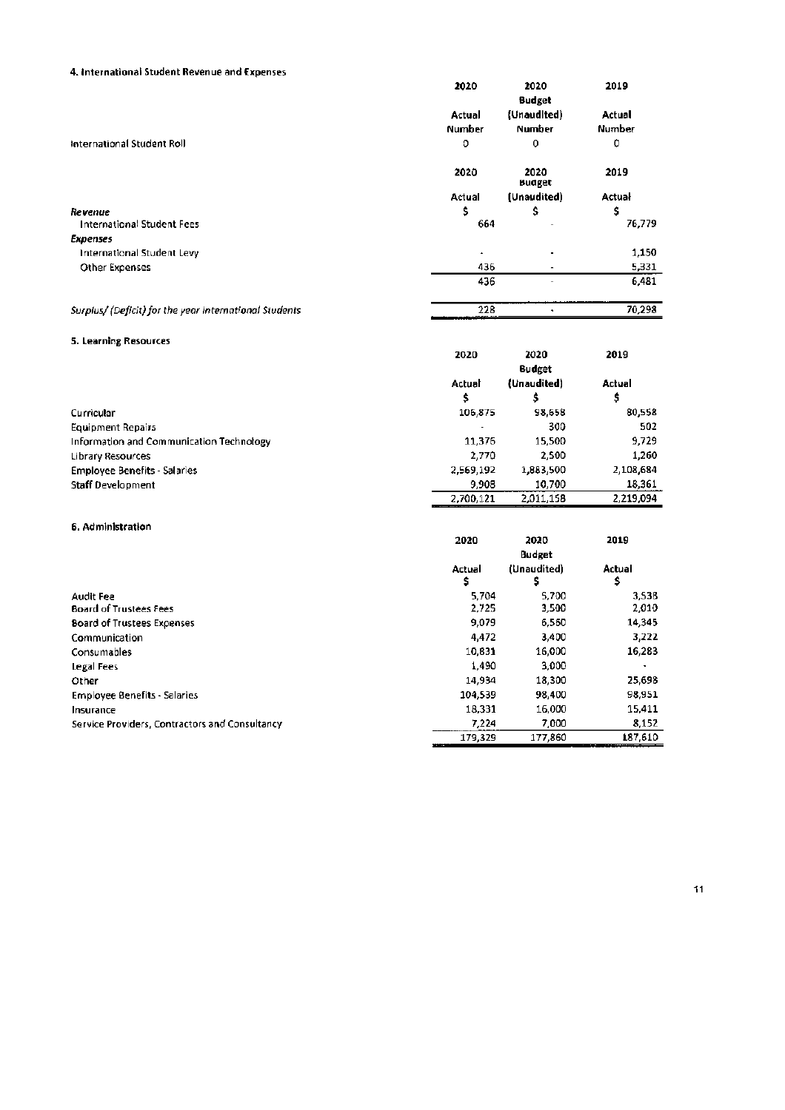## 4. International Student Revenue and Expenses

|                                                       | 2020          | 2020<br><b>Budget</b> | 2019   |
|-------------------------------------------------------|---------------|-----------------------|--------|
|                                                       | Actual        | (Unaudited)           | Actual |
|                                                       | <b>Number</b> | <b>Number</b>         | Number |
| International Student Roll                            | 0             | 0                     | 0      |
|                                                       | 2020          | 2020<br>Budget        | 2019   |
|                                                       | Actual        | (Unaudited)           | Actual |
| Revenue                                               | \$            | \$                    | \$     |
| <b>International Student Fees</b>                     | 664           |                       | 76,779 |
| <b>Expenses</b>                                       |               |                       |        |
| International Student Levy                            | ٠             |                       | 1,150  |
| <b>Other Expenses</b>                                 | 436           |                       | 5,331  |
|                                                       | 436           |                       | 6,481  |
| Surplus/(Deficit) for the year International Students | 228           |                       | 70,298 |

### 5. Learning Resources

|                                          | 2020      | 2020                         | 2019      |
|------------------------------------------|-----------|------------------------------|-----------|
|                                          | Actual    | <b>Budget</b><br>(Unaudited) | Actual    |
|                                          | \$        |                              | \$        |
| Curricular                               | 106,875   | 98,658                       | 80,558    |
| <b>Equipment Repairs</b>                 |           | 300                          | 502       |
| Information and Communication Technology | 11,376    | 15.500                       | 9,729     |
| Library Resources                        | 2,770     | 2,500                        | 1.260     |
| <b>Employee Benefits - Salaries</b>      | 2,569,192 | 1,883,500                    | 2,108,684 |
| Staff Development                        | 9,908     | 10.700                       | 18,361    |
|                                          | 2,700,121 | 2,011,158                    | 2.219.094 |

### 6. Administration

|                                                | 2020         | 2020          | 2019         |  |
|------------------------------------------------|--------------|---------------|--------------|--|
|                                                |              | <b>Budget</b> |              |  |
|                                                | Actual<br>\$ | (Unaudited)   | Actual<br>\$ |  |
| <b>Audit Fee</b>                               | 5.704        | 5,700         | 3,538        |  |
| <b>Board of Trustees Fees</b>                  | 2,725        | 3,500         | 2,010        |  |
| <b>Board of Trustees Expenses</b>              | 9,079        | 6,560         | 14,345       |  |
| Communication                                  | 4,472        | 3,400         | 3,222        |  |
| Consumables                                    | 10,831       | 16,000        | 16,283       |  |
| Legal Fees                                     | 1,490        | 3,000         |              |  |
| Other                                          | 14.934       | 18,300        | 25,698       |  |
| <b>Employee Benefits - Salaries</b>            | 104.539      | 98,400        | 98,951       |  |
| Insurance                                      | 18,331       | 16,000        | 15,411       |  |
| Service Providers, Contractors and Consultancy | 7.224        | 7.000         | 8,152        |  |
|                                                | 179.329      | 177.860       | 187.610      |  |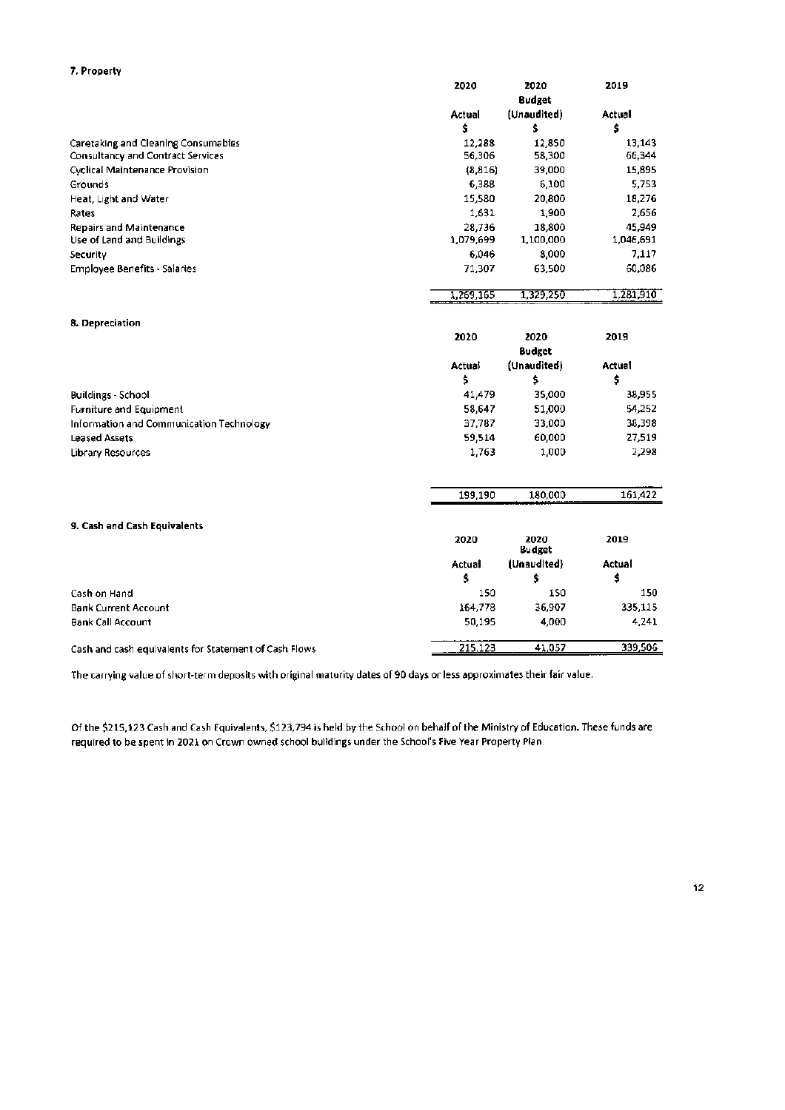| 7. Property                                           |           |                |           |
|-------------------------------------------------------|-----------|----------------|-----------|
|                                                       | 2020      | 2020           | 2019      |
|                                                       |           | <b>Budget</b>  |           |
|                                                       | Actual    | (Unaudited)    | Actual    |
|                                                       | \$        | \$             | \$        |
| Caretaking and Cleaning Consumables                   | 12,288    | 12,850         | 13,143    |
| Consultancy and Contract Services                     | 56,306    | 58,300         | 66,344    |
| Cyclical Maintenance Provision                        | (8.816)   | 39,000         | 15,895    |
| Grounds                                               | 6,388     | 6,100          | 5,753     |
| Heat, Light and Water                                 | 15,580    | 20,800         | 18,276    |
| Rates                                                 | 1,631     | 1,900          | 2,656     |
| <b>Repairs and Maintenance</b>                        | 28,736    | 18,800         | 45.949    |
| Use of Land and Buildings                             | 1,079,699 | 1,100,000      | 1,046,691 |
| Security                                              | 6,046     | 8,000          | 7,117     |
| <b>Employee Benefits - Salaries</b>                   | 71,307    | 63,500         | 60,086    |
|                                                       | 1,269,165 | 1,329,250      | 1,281,910 |
| 8. Depreciation                                       |           |                |           |
|                                                       | 2020      | 2020           | 2019      |
|                                                       |           | <b>Budget</b>  |           |
|                                                       | Actuai    | (Unaudited)    | Actual    |
|                                                       | \$        | \$             | \$        |
| <b>Buildings - School</b>                             | 41,479    | 35,000         | 38,955    |
| <b>Furniture and Equipment</b>                        | 58,647    | 51,000         | 54,252    |
| Information and Communication Technology              | 37,787    | 33,000         | 38,398    |
| <b>Leased Assets</b>                                  | 59,514    | 60,000         | 27,519    |
| Library Resources                                     | 1,763     | 1,000          | 2,298     |
|                                                       |           |                |           |
|                                                       | 199,190   | 180,000        | 161,422   |
| 9. Cash and Cash Equivalents                          |           |                |           |
|                                                       | 2020      | 2020<br>Budget | 2019      |
|                                                       | Actual    | (Unaudited)    | Actual    |
|                                                       | \$        | \$             | \$        |
| Cash on Hand                                          | 150       | 150            | 150       |
| <b>Bank Current Account</b>                           | 164,778   | 36,907         | 335,115   |
| <b>Bank Call Account</b>                              | 50,195    | 4,000          | 4,241     |
| Cash and cash equivalents for Statement of Cash Flows | 215,123   | 41,057         | 339,506   |

The carrying value of short-term deposits with original maturity dates of 90 days or less approximates their fair value.

Of the \$215,123 Cash and Cash Equivalents, \$123,794 is held by the School on behalf of the Ministry of Education. These funds are required to be spent in 2021 on Crown owned school buildings under the School's Five Year Property Plan.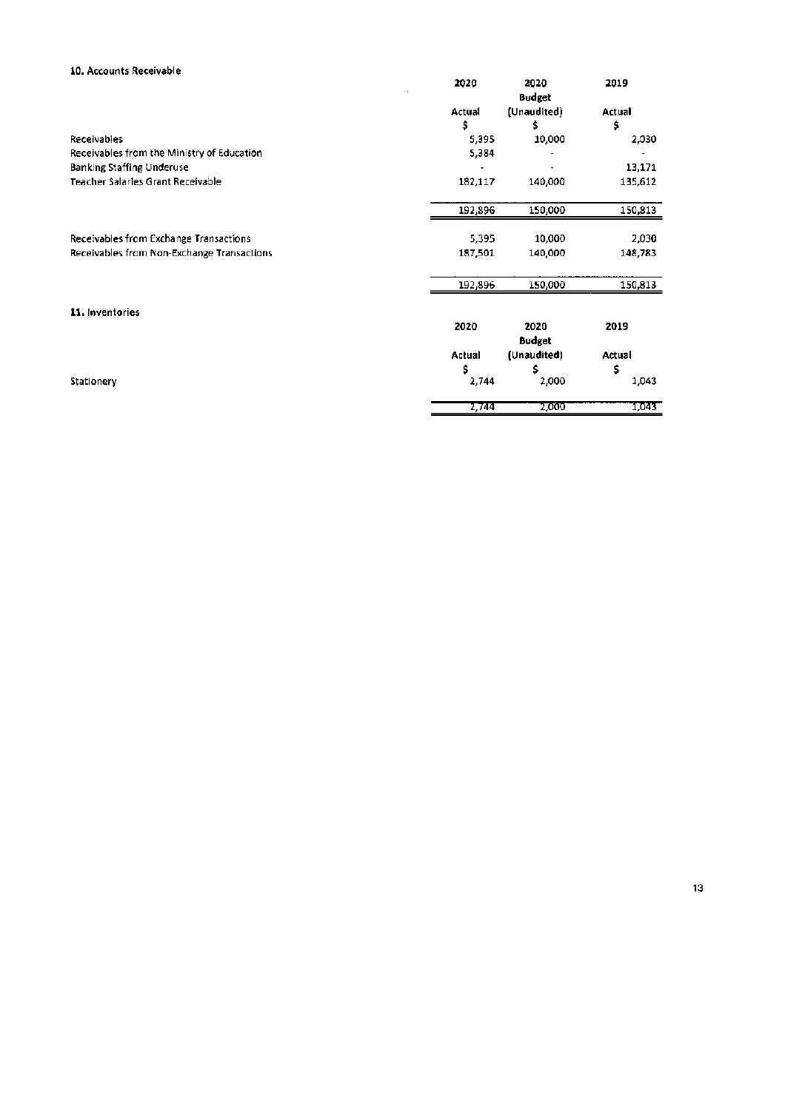| 10. Accounts Receivable                    |         |                       |         |
|--------------------------------------------|---------|-----------------------|---------|
|                                            | 2020    | 2020<br><b>Budget</b> | 2019    |
|                                            | Actual  | (Unaudited)           | Actual  |
|                                            | \$      | \$                    | \$      |
| Receivables                                | 5,395   | 10,000                | 2,030   |
| Receivables from the Ministry of Education | 5,384   |                       |         |
| <b>Banking Staffing Underuse</b>           |         |                       | 13,171  |
| Teacher Salaries Grant Receivable          | 182,117 | 140,000               | 135,612 |
|                                            | 192,896 | 150,000               | 150,813 |
| Receivables from Exchange Transactions     | 5,395   | 10,000                | 2,030   |
| Receivables from Non-Exchange Transactions | 187,501 | 140,000               | 148,783 |
|                                            | 192,896 | 150,000               | 150,813 |
| 11. Inventories                            |         |                       |         |
|                                            | 2020    | 2020<br><b>Budget</b> | 2019    |
|                                            | Actual  | (Unaudited)           | Actual  |
|                                            | \$      | \$                    | \$      |
| Stationery                                 | 2,744   | 2,000                 | 1,043   |
|                                            | 2,744   | 2,000                 | 1,043   |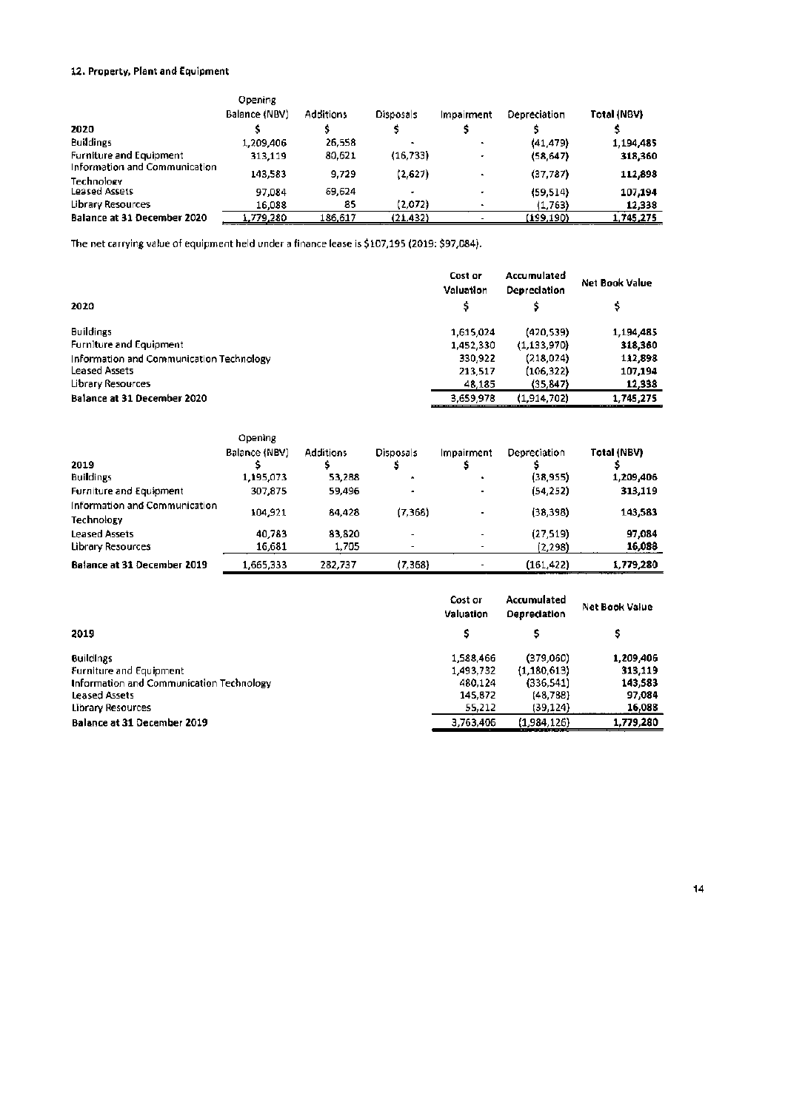## 12. Property, Plant and Equipment

|                                | Opening       |                  |                          |            |              |             |
|--------------------------------|---------------|------------------|--------------------------|------------|--------------|-------------|
|                                | Balance (NBV) | <b>Additions</b> | Disposals                | Impairment | Depreciation | Total (NBV) |
| 2020                           |               |                  |                          |            |              |             |
| <b>Buildings</b>               | 1.209.406     | 26.558           | $\overline{\phantom{a}}$ |            | (41.479)     | 1.194,485   |
| <b>Furniture and Equipment</b> | 313,119       | 80,621           | (16, 733)                |            | (58, 647)    | 318,360     |
| Information and Communication  | 143,583       | 9,729            | (2,627)                  |            | (37,787)     | 112,898     |
| Technology                     |               |                  |                          |            |              |             |
| Leased Assets                  | 97.084        | 69,624           |                          |            | (59.514)     | 107,194     |
| <b>Library Resources</b>       | 16.088        | 85               | (2.072)                  |            | (1,763)      | 12,338      |
| Balance at 31 December 2020    | 1,779,280     | 186.617          | (21.432)                 |            | (199,190)    | 1,745,275   |

The net carrying value of equipment held under a finance lease is \$107,195 (2019: \$97,084).

|                                          | Cost or<br>Valuation | Accumulated<br><b>Depreciation</b> | <b>Net Book Value</b> |
|------------------------------------------|----------------------|------------------------------------|-----------------------|
| 2020                                     |                      |                                    |                       |
| <b>Buildings</b>                         | 1,615,024            | (420.539)                          | 1,194,485             |
| <b>Furniture and Equipment</b>           | 1,452,330            | (1, 133, 970)                      | 318,360               |
| Information and Communication Technology | 330.922              | (218,024)                          | 112,898               |
| <b>Leased Assets</b>                     | 213.517              | (106, 322)                         | 107,194               |
| Library Resources                        | 48,185               | (35, 847)                          | 12,338                |
| Balance at 31 December 2020              | 3,659,978            | (1.914.702)                        | 1.745.275             |

|                                             | Opening<br>Balance (NBV) | <b>Additions</b> | Disposals            | Impairment | Depreciation | Total (NBV) |
|---------------------------------------------|--------------------------|------------------|----------------------|------------|--------------|-------------|
| 2019                                        |                          |                  |                      |            |              |             |
| <b>Buildings</b>                            | 1,195,073                | 53,288           | $\ddot{\phantom{1}}$ |            | (38,955)     | 1,209,406   |
| Furniture and Equipment                     | 307,875                  | 59,496           |                      |            | (54, 252)    | 313,119     |
| Information and Communication<br>Technology | 104,921                  | 84,428           | (7,368)              |            | (38, 398)    | 143,583     |
| <b>Leased Assets</b>                        | 40.783                   | 83.820           |                      | ۰.         | (27, 519)    | 97.084      |
| Library Resources                           | 16,681                   | 1,705            |                      |            | (2,298)      | 16,088      |
| <b>Balance at 31 December 2019</b>          | 1,665,333                | 282,737          | (7.368)              |            | (161,422)    | 1,779,280   |

|                                          | Cost or<br>Valuation | Accumulated<br>Depreciation | Net Book Value |
|------------------------------------------|----------------------|-----------------------------|----------------|
| 2019                                     | Ś                    |                             |                |
| <b>Buildings</b>                         | 1.588.466            | (379.060)                   | 1,209,406      |
| Furniture and Equipment                  | 1,493,732            | (1, 180, 613)               | 313,119        |
| Information and Communication Technology | 480.124              | (336, 541)                  | 143,583        |
| <b>Leased Assets</b>                     | 145,872              | (48,788)                    | 97,084         |
| Library Resources                        | 55,212               | (39, 124)                   | 16,088         |
| Balance at 31 December 2019              | 3,763,406            | (1,984,126)                 | 1,779,280      |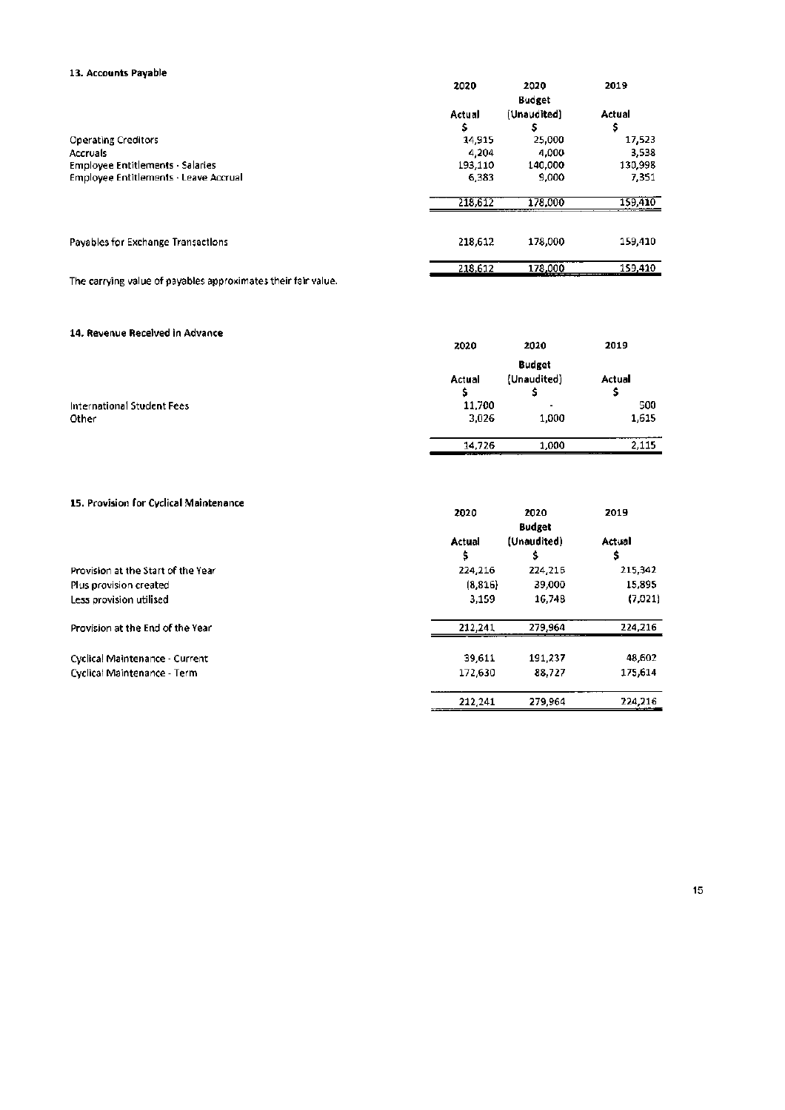| 13. Accounts Payable                         |         |               |         |
|----------------------------------------------|---------|---------------|---------|
|                                              | 2020    | 2020          | 2019    |
|                                              |         | <b>Budget</b> |         |
|                                              | Actual  | (Unaudited)   | Actual  |
|                                              | \$      | s             | \$      |
| <b>Operating Creditors</b>                   | 14,915  | 25,000        | 17,523  |
| <b>Accruals</b>                              | 4,204   | 4,000         | 3,538   |
| <b>Employee Entitlements - Salaries</b>      | 193,110 | 140,000       | 130,998 |
| <b>Employee Entitlements - Leave Accrual</b> | 6.383   | 9,000         | 7,351   |
|                                              | 218,612 | 178,000       | 159,410 |
|                                              |         |               |         |
| Payables for Exchange Transactions           | 218,612 | 178,000       | 159,410 |
|                                              | 218,612 | 178,000       | 159,410 |

The carrying value of payables approximates their fair value.

## 14. Revenue Received in Advance

| *** ********* ********* ************ | 2020   | 2020           | 2019   |
|--------------------------------------|--------|----------------|--------|
|                                      |        | <b>Budget</b>  |        |
|                                      | Actual | (Unaudited)    | Actual |
|                                      |        |                |        |
| International Student Fees           | 11,700 | $\blacksquare$ | 500    |
| Other                                | 3,026  | 1,000          | 1,615  |
|                                      | 14,726 | 1,000          | 2,115  |

## 15. Provision for Cyclical Maintenance

| 15. Provision for Cyclical Maintenance | 2020         | 2020<br><b>Budget</b> | 2019         |
|----------------------------------------|--------------|-----------------------|--------------|
|                                        | Actual<br>\$ | (Unaudited)<br>s      | Actual<br>\$ |
| Provision at the Start of the Year     | 224.216      | 224,216               | 215,342      |
| Plus provision created                 | (8, 816)     | 39,000                | 15,895       |
| Less provision utilised                | 3.159        | 16,748                | (7,021)      |
| Provision at the End of the Year       | 212.241      | 279,964               | 224,216      |
| Cyclical Maintenance - Current         | 39,611       | 191.237               | 48,602       |
| Cyclical Maintenance - Term            | 172,630      | 88.727                | 175,614      |
|                                        | 212,241      | 279,964               | 224,216      |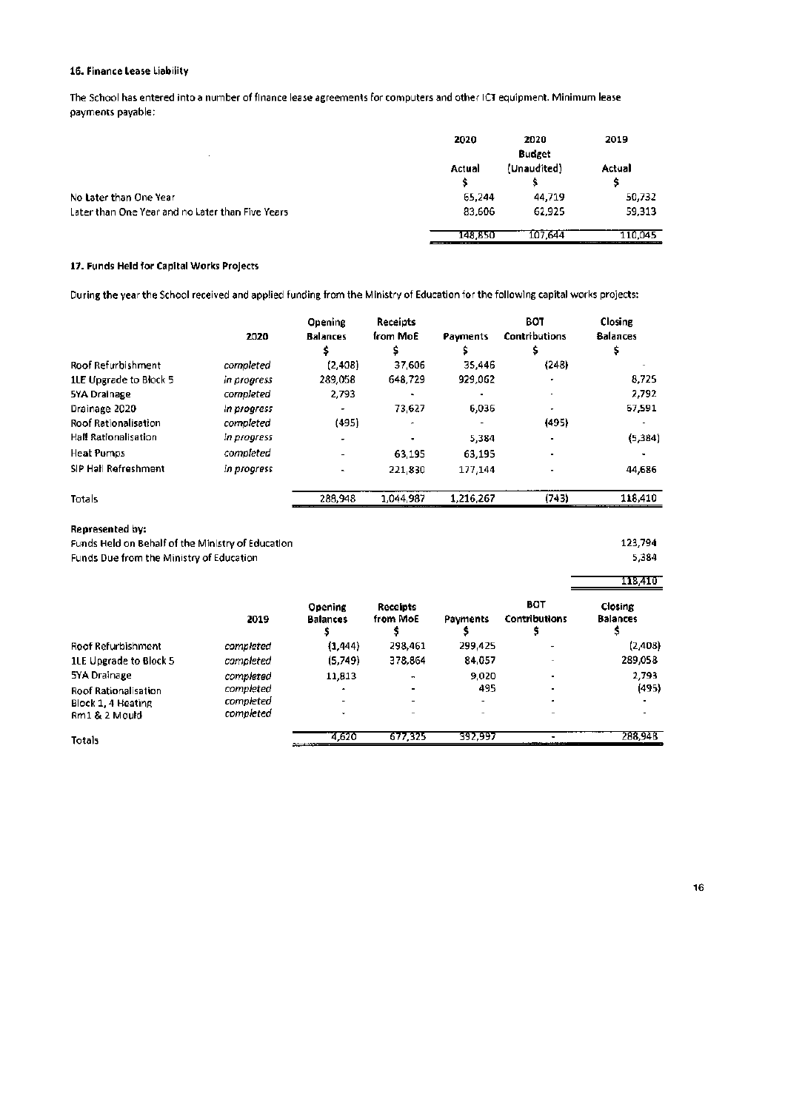## 16. Finance Lease Liability

The School has entered into a number of finance lease agreements for computers and other ICT equipment. Minimum lease payments payable:

|                                                  | 2020    | 2020          | 2019    |
|--------------------------------------------------|---------|---------------|---------|
|                                                  |         | <b>Budget</b> |         |
|                                                  | Actual  | (Unaudited)   | Actual  |
|                                                  |         |               | s       |
| No Later than One Year                           | 65.244  | 44.719        | 50,732  |
| Later than One Year and no Later than Five Years | 83,606  | 62.925        | 59,313  |
|                                                  | 148,850 | 107.644       | 110.045 |

### 17. Funds Held for Capital Works Projects

During the year the School received and applied funding from the Ministry of Education for the following capital works projects:

|                             | 2020        | Opening<br><b>Balances</b> | Receipts<br>from MoE | Payments  | BOT<br><b>Contributions</b><br>s | Closing<br><b>Balances</b> |
|-----------------------------|-------------|----------------------------|----------------------|-----------|----------------------------------|----------------------------|
| <b>Roof Refurbishment</b>   | completed   | (2,408)                    | 37.606               | 35,446    | (248)                            |                            |
| 1LE Upgrade to Block 5      | in progress | 289,058                    | 648.729              | 929,062   |                                  | 8.725                      |
| 5YA Drainage                | completed   | 2.793                      |                      |           |                                  | 2,792                      |
| Drainage 2020               | in progress | ٠                          | 73.627               | 6.036     |                                  | 67,591                     |
| <b>Roof Rationalisation</b> | completed   | (495)                      |                      |           | (495)                            |                            |
| <b>Hall Rationalisation</b> | in progress |                            |                      | 5.384     | $\blacksquare$                   | (5, 384)                   |
| <b>Heat Pumps</b>           | completed   |                            | 63,195               | 63,195    |                                  |                            |
| SIP Hall Refreshment        | in progress | $\blacksquare$             | 221,830              | 177,144   |                                  | 44,686                     |
| Totals                      |             | 288,948                    | 1,044,987            | 1,216,267 | (743)                            | 118,410                    |

#### Represented by:

Funds Held on Behalf of the Ministry of Education Funds Due from the Ministry of Education

123,794 5,384

118,410

|                             | 2019      | Opening<br><b>Balances</b> | Receipts<br>from MoE | Payments | <b>BOT</b><br><b>Contributions</b> | Closing<br><b>Balances</b> |
|-----------------------------|-----------|----------------------------|----------------------|----------|------------------------------------|----------------------------|
| Roof Refurbishment          | completed | (1,444)                    | 298.461              | 299,425  | $\cdot$                            | (2,408)                    |
| 1LE Upgrade to Block 5      | completed | (5.749)                    | 378,864              | 84,057   |                                    | 289,058                    |
| 5YA Drainage                | completed | 11,813                     |                      | 9.020    | $\overline{\phantom{a}}$           | 2.793                      |
| <b>Roof Rationalisation</b> | completed | ٠                          |                      | 495      |                                    | (495)                      |
| Block 1, 4 Heating          | completed | -                          |                      |          |                                    |                            |
| Rm1 & 2 Mould               | completed | ۰                          |                      |          |                                    |                            |
| <b>Totals</b>               |           | 4.620                      | 677.325              | 392,997  |                                    | 288,948                    |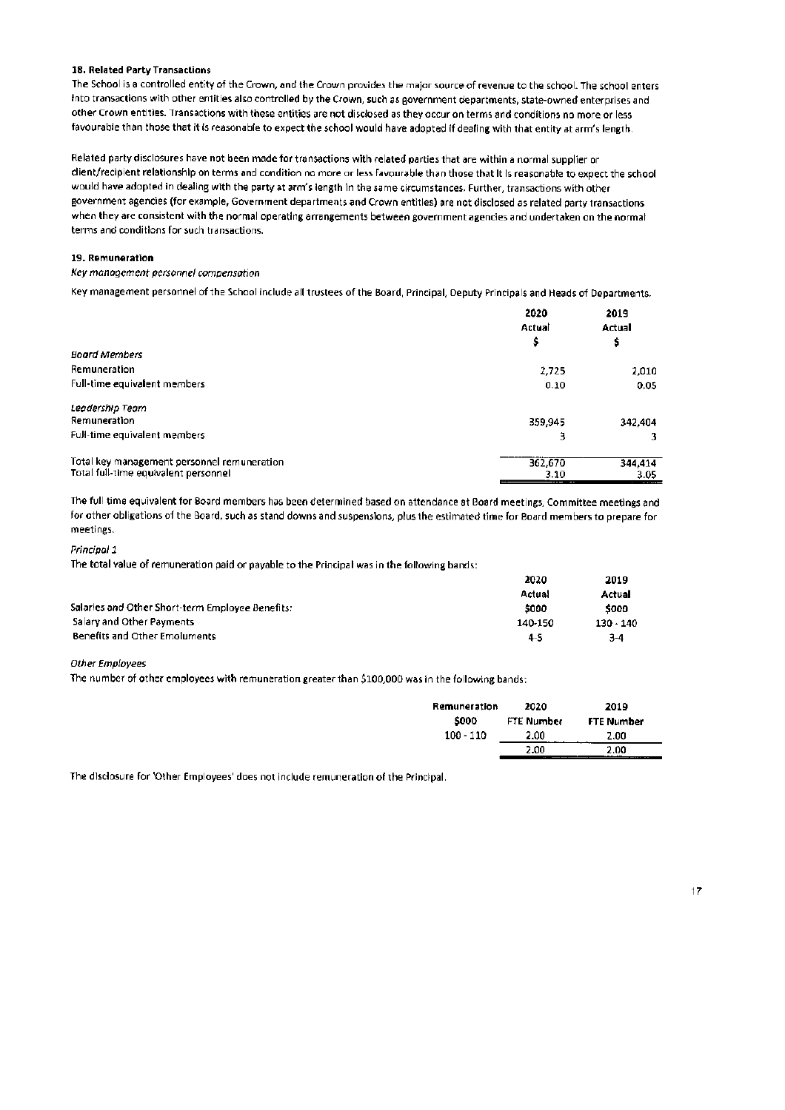#### 18. Related Party Transactions

The School is a controlled entity of the Crown, and the Crown provides the major source of revenue to the school. The school enters into transactions with other entities also controlled by the Crown, such as government departments, state-owned enterprises and other Crown entities. Transactions with these entities are not disclosed as they occur on terms and conditions no more or less favourable than those that it is reasonable to expect the school would have adopted if dealing with that entity at arm's length.

Related party disclosures have not been made for transactions with related parties that are within a normal supplier or client/recipient relationship on terms and condition no more or less favourable than those that It is reasonable to expect the school would have adopted in dealing with the party at arm's length in the same circumstances. Further, transactions with other government agencies (for example, Government departments and Crown entities) are not disclosed as related party transactions when they are consistent with the normal operating arrangements between government agencies and undertaken on the normal terms and conditions for such transactions.

#### 19. Remuneration

#### Key management personnel compensation

Key management personnel of the School include all trustees of the Board, Principal, Deputy Principals and Heads of Departments.

|                                             | 2020    | 2019    |  |
|---------------------------------------------|---------|---------|--|
|                                             | Actual  | Actual  |  |
|                                             |         | \$      |  |
| <b>Board Members</b>                        |         |         |  |
| Remuneration                                | 2,725   | 2,010   |  |
| Full-time equivalent members                | 0.10    | 0.05    |  |
| Leadership Team                             |         |         |  |
| Remuneration                                | 359,945 | 342.404 |  |
| Full-time equivalent members                | з       |         |  |
| Total key management personnel remuneration | 362.670 | 344,414 |  |
| Total full-time equivalent personnel        | 3.10    | 3.05    |  |

The full time equivalent for 80ard members has been determined based on attendance at Board meetings, Committee meetings and for other obligations of the Board, such as stand downs and suspensions, plus the estimated time for Board members to prepare for meetings.

#### Princinal 1

The total value of remuneration paid or payable to the Principal was in the following bands:

|                                                  | 2020    | 2019        |
|--------------------------------------------------|---------|-------------|
|                                                  | Actual  | Actual      |
| Salaries and Other Short-term Employee Benefits: | 5000    | 5000        |
| Salary and Other Payments                        | 140-150 | $130 - 140$ |
| <b>Benefits and Other Emoluments</b>             | 4-5     | 3-4         |

#### **Other Employees**

The number of other employees with remuneration greater than \$100,000 was in the following bands:

| Remuneration<br>\$000 | 2020<br>FTE Number | 2019<br>FTE Number |
|-----------------------|--------------------|--------------------|
| $100 - 110$           | 2.00<br>.          | 2.00               |
|                       | 2.00               | 2.00<br>---- --    |

 $\overline{a}$ 

The disclosure for 'Other Employees' does not include remuneration of the Principal.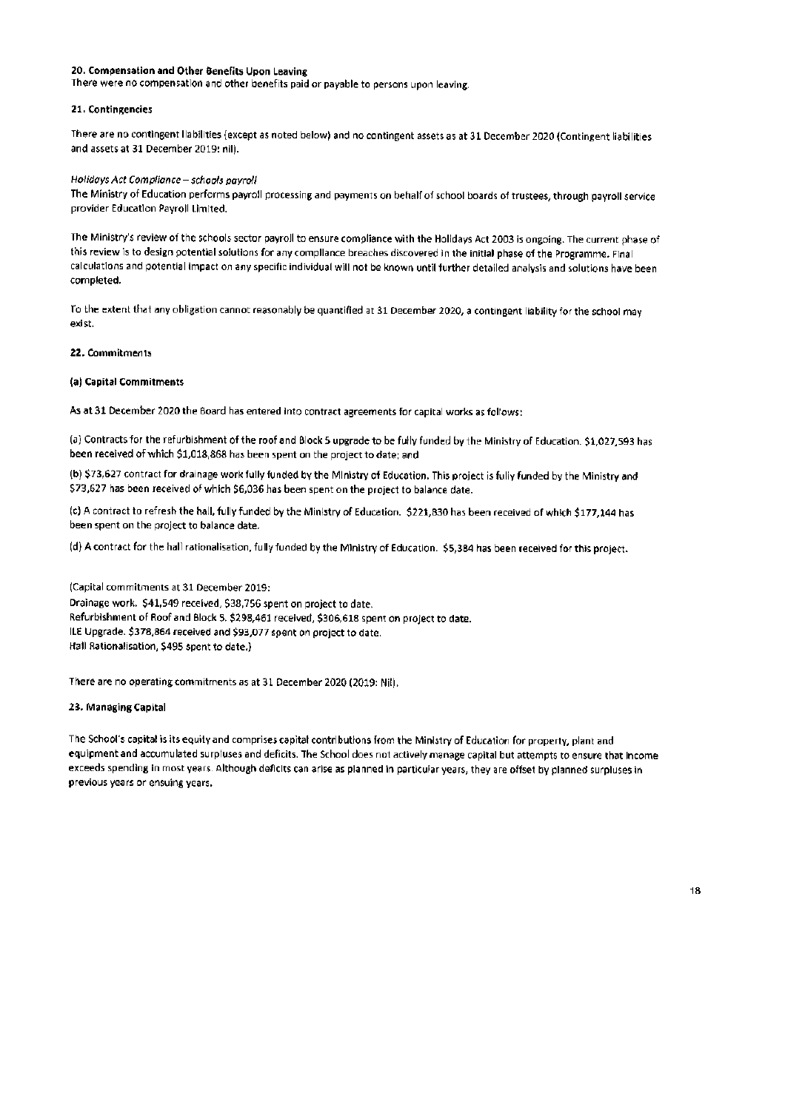### 20. Compensation and Other Benefits Upon Leaving

There were no compensation and other benefits paid or payable to persons upon leaving.

#### 21. Contingencies

There are no contingent llabilities (except as noted below) and no contingent assets as at 31 December 2020 (Contingent liabilities and assets at 31 December 2019: nil).

## Holidays Act Compliance - schools payroll

The Ministry of Education performs payroll processing and payments on behalf of school boards of trustees, through payroll service provider Education Payroll Limited.

The Ministry's review of the schools sector payroll to ensure compliance with the Holldays Act 2003 is ongoing. The current phase of this review is to design potential solutions for any compliance breaches discovered in the initial phase of the Programme. Final calculations and potential impact on any specific individual will not be known until further detailed analysis and solutions have been completed.

To the extent that any obligation cannot reasonably be quantified at 31 December 2020, a contingent liability for the school may exist.

### 22. Commitments

#### (a) Capital Commitments

As at 31 December 2020 the Board has entered into contract agreements for capital works as follows:

(a) Contracts for the refurbishment of the roof and Block 5 upgrade to be fully funded by the Ministry of Education. \$1,027,593 has been received of which \$1,018,868 has been spent on the project to date; and

(b) \$73,627 contract for drainage work fully funded by the Ministry of Education. This project is fully funded by the Ministry and \$73,627 has been received of which \$6,036 has been spent on the project to balance date.

(c) A contract to refresh the hall, fully funded by the Ministry of Education. \$221,830 has been received of which \$177,144 has been spent on the project to balance date.

(d) A contract for the hall rationalisation, fully funded by the Ministry of Education. \$5,384 has been received for this project.

(Capital commitments at 31 December 2019: Drainage work. \$41,549 received, \$38,756 spent on project to date. Refurbishment of Roof and Block 5. \$298,461 received, \$306,618 spent on project to date. ILE Upgrade. \$378,864 received and \$93,077 spent on project to date. Hall Rationalisation, \$495 spent to date.)

There are no operating commitments as at 31 December 2020 (2019: Nil).

#### 23. Managing Capital

The School's capital is its equity and comprises capital contributions from the Ministry of Education for property, plant and equipment and accumulated surpluses and deficits. The School does not actively manage capital but attempts to ensure that income exceeds spending in most years. Although deficits can arise as planned in particular years, they are offset by planned surpluses in previous years or ensuing years.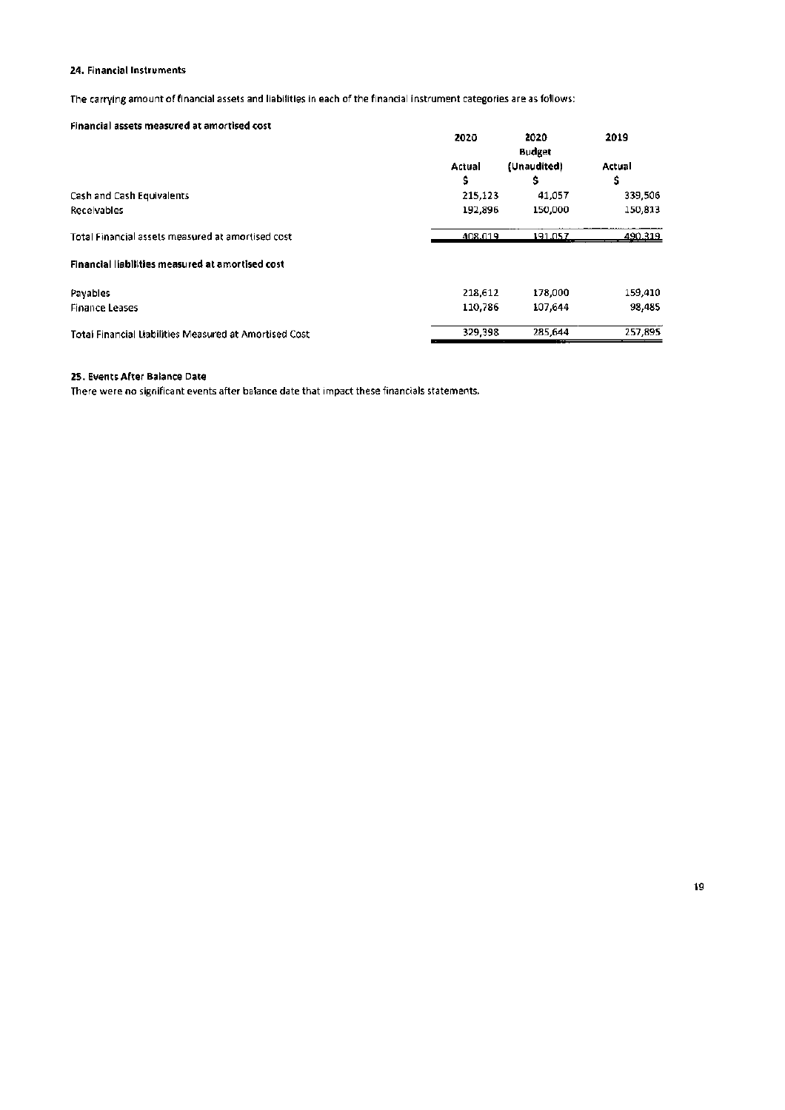### 24. Financial Instruments

The carrying amount of financial assets and liabilities in each of the financial instrument categories are as follows:

### Financial assets measured at amortised cost

| rinancial assets nieasureu at anion nseu cost          | 2020        | 2020<br><b>Budget</b> | 2019         |
|--------------------------------------------------------|-------------|-----------------------|--------------|
|                                                        | Actual<br>s | (Unaudited)<br>s      | Actual<br>\$ |
| Cash and Cash Equivalents                              | 215,123     | 41.057                | 339,506      |
| Receivables                                            | 192.896     | 150,000               | 150,813      |
| Total Financial assets measured at amortised cost      | 408.019     | 191.057               | 490.319      |
| Financial liabilities measured at amortised cost       |             |                       |              |
| Payables                                               | 218.612     | 178,000               | 159,410      |
| <b>Finance Leases</b>                                  | 110.786     | 107.644               | 98.485       |
| Total Financial Liabilities Measured at Amortised Cost | 329,398     | 285,644               | 257.895      |

## 25. Events After Balance Date

There were no significant events after balance date that impact these financials statements.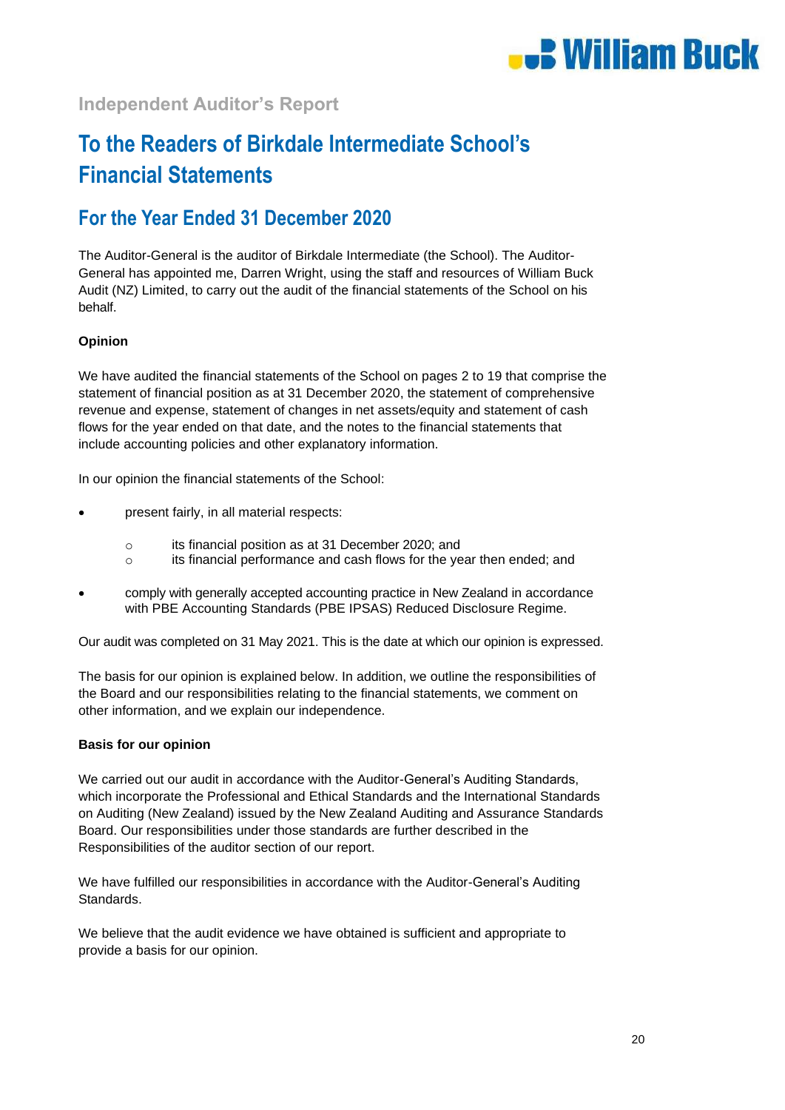

## **Independent Auditor's Report**

# **To the Readers of Birkdale Intermediate School's Financial Statements**

## **For the Year Ended 31 December 2020**

The Auditor-General is the auditor of Birkdale Intermediate (the School). The Auditor-General has appointed me, Darren Wright, using the staff and resources of William Buck Audit (NZ) Limited, to carry out the audit of the financial statements of the School on his behalf.

## **Opinion**

We have audited the financial statements of the School on pages 2 to 19 that comprise the statement of financial position as at 31 December 2020, the statement of comprehensive revenue and expense, statement of changes in net assets/equity and statement of cash flows for the year ended on that date, and the notes to the financial statements that include accounting policies and other explanatory information.

In our opinion the financial statements of the School:

- present fairly, in all material respects:
	- o its financial position as at 31 December 2020; and
	- o its financial performance and cash flows for the year then ended; and
- comply with generally accepted accounting practice in New Zealand in accordance with PBE Accounting Standards (PBE IPSAS) Reduced Disclosure Regime.

Our audit was completed on 31 May 2021. This is the date at which our opinion is expressed.

The basis for our opinion is explained below. In addition, we outline the responsibilities of the Board and our responsibilities relating to the financial statements, we comment on other information, and we explain our independence.

## **Basis for our opinion**

We carried out our audit in accordance with the Auditor-General's Auditing Standards, which incorporate the Professional and Ethical Standards and the International Standards on Auditing (New Zealand) issued by the New Zealand Auditing and Assurance Standards Board. Our responsibilities under those standards are further described in the Responsibilities of the auditor section of our report.

We have fulfilled our responsibilities in accordance with the Auditor-General's Auditing Standards.

We believe that the audit evidence we have obtained is sufficient and appropriate to provide a basis for our opinion.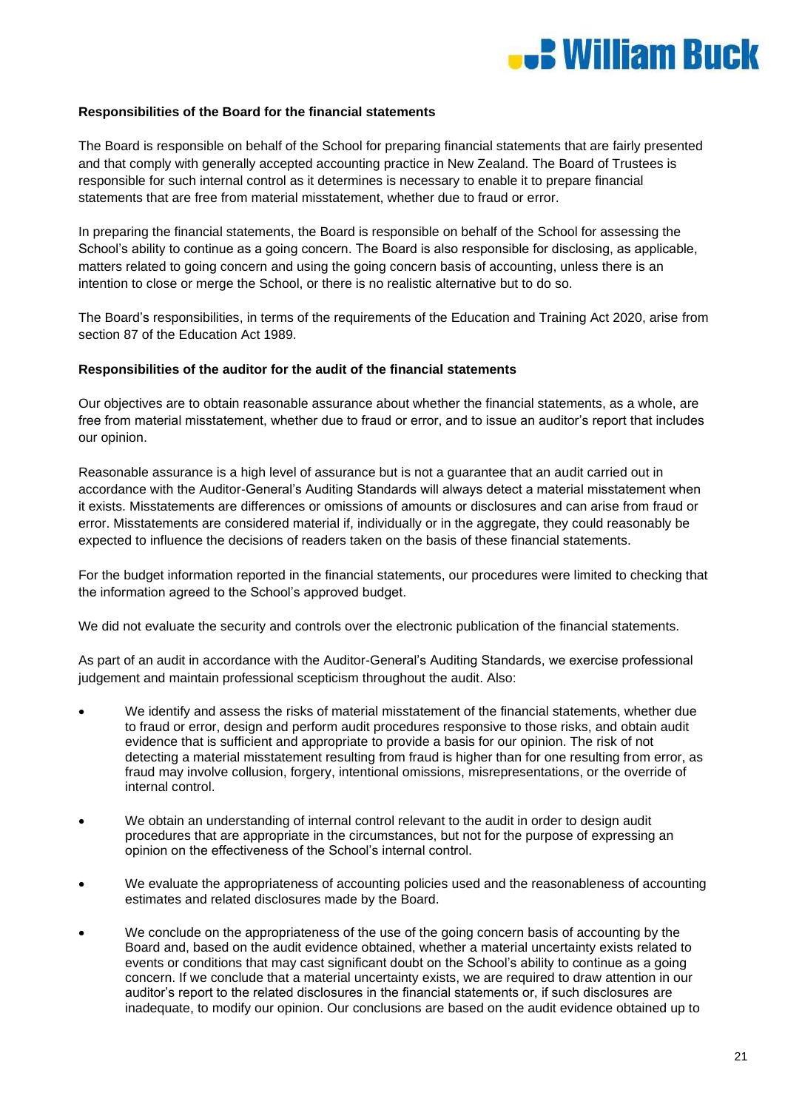

## **Responsibilities of the Board for the financial statements**

The Board is responsible on behalf of the School for preparing financial statements that are fairly presented and that comply with generally accepted accounting practice in New Zealand. The Board of Trustees is responsible for such internal control as it determines is necessary to enable it to prepare financial statements that are free from material misstatement, whether due to fraud or error.

In preparing the financial statements, the Board is responsible on behalf of the School for assessing the School's ability to continue as a going concern. The Board is also responsible for disclosing, as applicable, matters related to going concern and using the going concern basis of accounting, unless there is an intention to close or merge the School, or there is no realistic alternative but to do so.

The Board's responsibilities, in terms of the requirements of the Education and Training Act 2020, arise from section 87 of the Education Act 1989.

## **Responsibilities of the auditor for the audit of the financial statements**

Our objectives are to obtain reasonable assurance about whether the financial statements, as a whole, are free from material misstatement, whether due to fraud or error, and to issue an auditor's report that includes our opinion.

Reasonable assurance is a high level of assurance but is not a guarantee that an audit carried out in accordance with the Auditor-General's Auditing Standards will always detect a material misstatement when it exists. Misstatements are differences or omissions of amounts or disclosures and can arise from fraud or error. Misstatements are considered material if, individually or in the aggregate, they could reasonably be expected to influence the decisions of readers taken on the basis of these financial statements.

For the budget information reported in the financial statements, our procedures were limited to checking that the information agreed to the School's approved budget.

We did not evaluate the security and controls over the electronic publication of the financial statements.

As part of an audit in accordance with the Auditor-General's Auditing Standards, we exercise professional judgement and maintain professional scepticism throughout the audit. Also:

- We identify and assess the risks of material misstatement of the financial statements, whether due to fraud or error, design and perform audit procedures responsive to those risks, and obtain audit evidence that is sufficient and appropriate to provide a basis for our opinion. The risk of not detecting a material misstatement resulting from fraud is higher than for one resulting from error, as fraud may involve collusion, forgery, intentional omissions, misrepresentations, or the override of internal control.
- We obtain an understanding of internal control relevant to the audit in order to design audit procedures that are appropriate in the circumstances, but not for the purpose of expressing an opinion on the effectiveness of the School's internal control.
- We evaluate the appropriateness of accounting policies used and the reasonableness of accounting estimates and related disclosures made by the Board.
- We conclude on the appropriateness of the use of the going concern basis of accounting by the Board and, based on the audit evidence obtained, whether a material uncertainty exists related to events or conditions that may cast significant doubt on the School's ability to continue as a going concern. If we conclude that a material uncertainty exists, we are required to draw attention in our auditor's report to the related disclosures in the financial statements or, if such disclosures are inadequate, to modify our opinion. Our conclusions are based on the audit evidence obtained up to